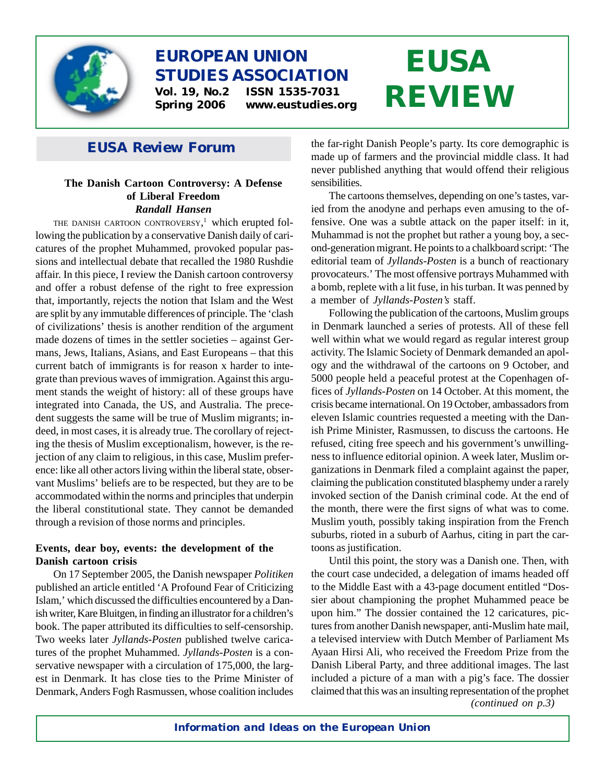

# **EUROPEAN UNION STUDIES ASSOCIATION Vol. 19, No.2 ISSN 1535-7031**

**Spring 2006 www.eustudies.org**

# **EUSA REVIEW**

# *EUSA Review* **Forum**

#### **The Danish Cartoon Controversy: A Defense of Liberal Freedom** *Randall Hansen*

THE DANISH CARTOON CONTROVERSY,<sup>1</sup> which erupted following the publication by a conservative Danish daily of caricatures of the prophet Muhammed, provoked popular passions and intellectual debate that recalled the 1980 Rushdie affair. In this piece, I review the Danish cartoon controversy and offer a robust defense of the right to free expression that, importantly, rejects the notion that Islam and the West are split by any immutable differences of principle. The 'clash of civilizations' thesis is another rendition of the argument made dozens of times in the settler societies – against Germans, Jews, Italians, Asians, and East Europeans – that this current batch of immigrants is for reason x harder to integrate than previous waves of immigration. Against this argument stands the weight of history: all of these groups have integrated into Canada, the US, and Australia. The precedent suggests the same will be true of Muslim migrants; indeed, in most cases, it is already true. The corollary of rejecting the thesis of Muslim exceptionalism, however, is the rejection of any claim to religious, in this case, Muslim preference: like all other actors living within the liberal state, observant Muslims' beliefs are to be respected, but they are to be accommodated within the norms and principles that underpin the liberal constitutional state. They cannot be demanded through a revision of those norms and principles.

### **Events, dear boy, events: the development of the Danish cartoon crisis**

On 17 September 2005, the Danish newspaper *Politiken* published an article entitled 'A Profound Fear of Criticizing Islam,' which discussed the difficulties encountered by a Danish writer, Kare Bluitgen, in finding an illustrator for a children's book. The paper attributed its difficulties to self-censorship. Two weeks later *Jyllands-Posten* published twelve caricatures of the prophet Muhammed. *Jyllands-Posten* is a conservative newspaper with a circulation of 175,000, the largest in Denmark. It has close ties to the Prime Minister of Denmark, Anders Fogh Rasmussen, whose coalition includes

the far-right Danish People's party. Its core demographic is made up of farmers and the provincial middle class. It had never published anything that would offend their religious sensibilities.

The cartoons themselves, depending on one's tastes, varied from the anodyne and perhaps even amusing to the offensive. One was a subtle attack on the paper itself: in it, Muhammad is not the prophet but rather a young boy, a second-generation migrant. He points to a chalkboard script: 'The editorial team of *Jyllands-Posten* is a bunch of reactionary provocateurs.' The most offensive portrays Muhammed with a bomb, replete with a lit fuse, in his turban. It was penned by a member of *Jyllands-Posten's* staff.

Following the publication of the cartoons, Muslim groups in Denmark launched a series of protests. All of these fell well within what we would regard as regular interest group activity. The Islamic Society of Denmark demanded an apology and the withdrawal of the cartoons on 9 October, and 5000 people held a peaceful protest at the Copenhagen offices of *Jyllands-Posten* on 14 October. At this moment, the crisis became international. On 19 October, ambassadors from eleven Islamic countries requested a meeting with the Danish Prime Minister, Rasmussen, to discuss the cartoons. He refused, citing free speech and his government's unwillingness to influence editorial opinion. A week later, Muslim organizations in Denmark filed a complaint against the paper, claiming the publication constituted blasphemy under a rarely invoked section of the Danish criminal code. At the end of the month, there were the first signs of what was to come. Muslim youth, possibly taking inspiration from the French suburbs, rioted in a suburb of Aarhus, citing in part the cartoons as justification.

Until this point, the story was a Danish one. Then, with the court case undecided, a delegation of imams headed off to the Middle East with a 43-page document entitled "Dossier about championing the prophet Muhammed peace be upon him." The dossier contained the 12 caricatures, pictures from another Danish newspaper, anti-Muslim hate mail, a televised interview with Dutch Member of Parliament Ms Ayaan Hirsi Ali, who received the Freedom Prize from the Danish Liberal Party, and three additional images. The last included a picture of a man with a pig's face. The dossier claimed that this was an insulting representation of the prophet

*(continued on p.3)*

*Information and Ideas on the European Union*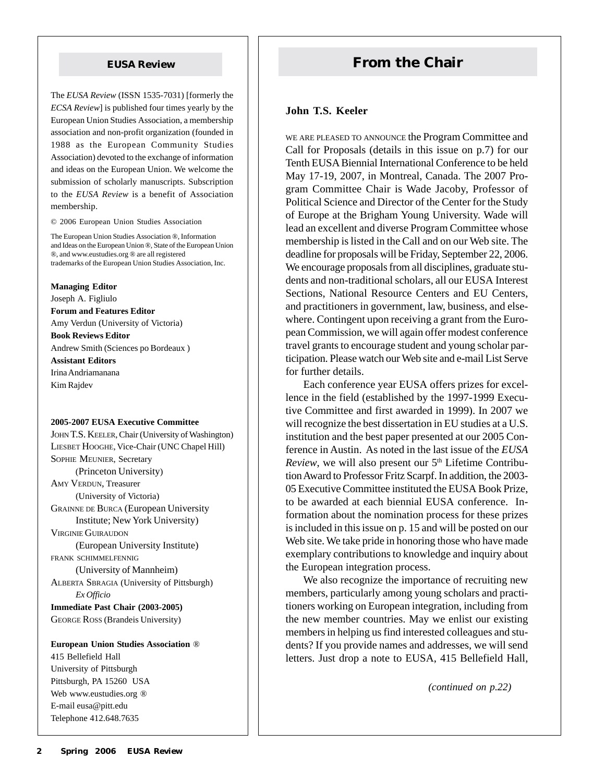The *EUSA Review* (ISSN 1535-7031) [formerly the *ECSA Review*] is published four times yearly by the European Union Studies Association, a membership association and non-profit organization (founded in 1988 as the European Community Studies Association) devoted to the exchange of information and ideas on the European Union. We welcome the submission of scholarly manuscripts. Subscription to the *EUSA Review* is a benefit of Association membership.

© 2006 European Union Studies Association

The European Union Studies Association ®, Information and Ideas on the European Union ®, State of the European Union ®, and www.eustudies.org ® are all registered trademarks of the European Union Studies Association, Inc.

**Managing Editor** Joseph A. Figliulo **Forum and Features Editor** Amy Verdun (University of Victoria) **Book Reviews Editor** Andrew Smith (Sciences po Bordeaux ) **Assistant Editors** Irina Andriamanana Kim Rajdev

#### **2005-2007 EUSA Executive Committee**

JOHN T.S. KEELER, Chair (University of Washington) LIESBET HOOGHE, Vice-Chair (UNC Chapel Hill) SOPHIE MEUNIER, Secretary (Princeton University) AMY VERDUN, Treasurer (University of Victoria) GRAINNE DE BURCA (European University Institute; New York University) VIRGINIE GUIRAUDON (European University Institute) FRANK SCHIMMELFENNIG (University of Mannheim) ALBERTA SBRAGIA (University of Pittsburgh) *Ex Officio* **Immediate Past Chair (2003-2005)** GEORGE ROSS (Brandeis University) **European Union Studies Association** ®

415 Bellefield Hall University of Pittsburgh Pittsburgh, PA 15260 USA Web www.eustudies.org ® E-mail eusa@pitt.edu Telephone 412.648.7635

## **EUSA Review <b>From the Chair**

#### **John T.S. Keeler**

WE ARE PLEASED TO ANNOUNCE the Program Committee and Call for Proposals (details in this issue on p.7) for our Tenth EUSA Biennial International Conference to be held May 17-19, 2007, in Montreal, Canada. The 2007 Program Committee Chair is Wade Jacoby, Professor of Political Science and Director of the Center for the Study of Europe at the Brigham Young University. Wade will lead an excellent and diverse Program Committee whose membership is listed in the Call and on our Web site. The deadline for proposals will be Friday, September 22, 2006. We encourage proposals from all disciplines, graduate students and non-traditional scholars, all our EUSA Interest Sections, National Resource Centers and EU Centers, and practitioners in government, law, business, and elsewhere. Contingent upon receiving a grant from the European Commission, we will again offer modest conference travel grants to encourage student and young scholar participation. Please watch our Web site and e-mail List Serve for further details.

Each conference year EUSA offers prizes for excellence in the field (established by the 1997-1999 Executive Committee and first awarded in 1999). In 2007 we will recognize the best dissertation in EU studies at a U.S. institution and the best paper presented at our 2005 Conference in Austin. As noted in the last issue of the *EUSA Review*, we will also present our 5<sup>th</sup> Lifetime Contribution Award to Professor Fritz Scarpf. In addition, the 2003- 05 Executive Committee instituted the EUSA Book Prize, to be awarded at each biennial EUSA conference. Information about the nomination process for these prizes is included in this issue on p. 15 and will be posted on our Web site. We take pride in honoring those who have made exemplary contributions to knowledge and inquiry about the European integration process.

We also recognize the importance of recruiting new members, particularly among young scholars and practitioners working on European integration, including from the new member countries. May we enlist our existing members in helping us find interested colleagues and students? If you provide names and addresses, we will send letters. Just drop a note to EUSA, 415 Bellefield Hall,

*(continued on p.22)*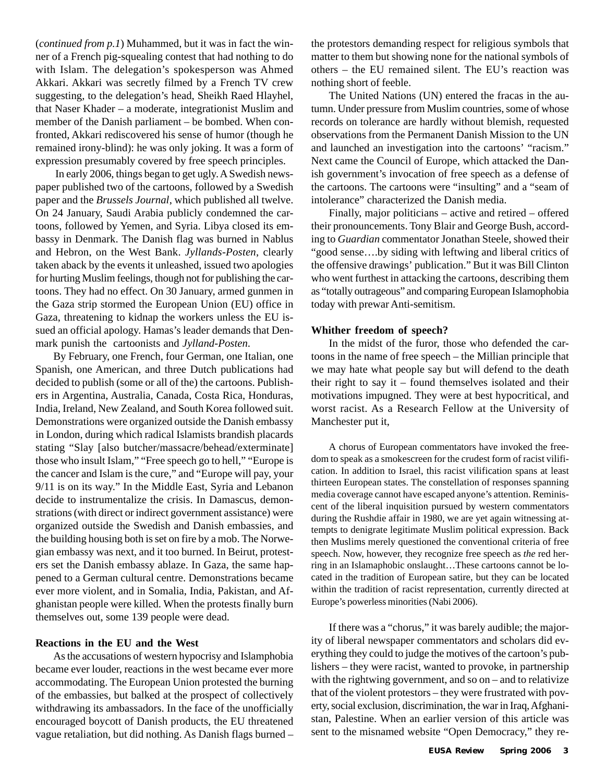(*continued from p.1*) Muhammed, but it was in fact the winner of a French pig-squealing contest that had nothing to do with Islam. The delegation's spokesperson was Ahmed Akkari. Akkari was secretly filmed by a French TV crew suggesting, to the delegation's head, Sheikh Raed Hlayhel, that Naser Khader – a moderate, integrationist Muslim and member of the Danish parliament – be bombed. When confronted, Akkari rediscovered his sense of humor (though he remained irony-blind): he was only joking. It was a form of expression presumably covered by free speech principles.

 In early 2006, things began to get ugly. A Swedish newspaper published two of the cartoons, followed by a Swedish paper and the *Brussels Journal*, which published all twelve. On 24 January, Saudi Arabia publicly condemned the cartoons, followed by Yemen, and Syria. Libya closed its embassy in Denmark. The Danish flag was burned in Nablus and Hebron, on the West Bank. *Jyllands-Posten*, clearly taken aback by the events it unleashed, issued two apologies for hurting Muslim feelings, though not for publishing the cartoons. They had no effect. On 30 January, armed gunmen in the Gaza strip stormed the European Union (EU) office in Gaza, threatening to kidnap the workers unless the EU issued an official apology. Hamas's leader demands that Denmark punish the cartoonists and *Jylland-Posten*.

By February, one French, four German, one Italian, one Spanish, one American, and three Dutch publications had decided to publish (some or all of the) the cartoons. Publishers in Argentina, Australia, Canada, Costa Rica, Honduras, India, Ireland, New Zealand, and South Korea followed suit. Demonstrations were organized outside the Danish embassy in London, during which radical Islamists brandish placards stating "Slay [also butcher/massacre/behead/exterminate] those who insult Islam," "Free speech go to hell," "Europe is the cancer and Islam is the cure," and "Europe will pay, your 9/11 is on its way." In the Middle East, Syria and Lebanon decide to instrumentalize the crisis. In Damascus, demonstrations (with direct or indirect government assistance) were organized outside the Swedish and Danish embassies, and the building housing both is set on fire by a mob. The Norwegian embassy was next, and it too burned. In Beirut, protesters set the Danish embassy ablaze. In Gaza, the same happened to a German cultural centre. Demonstrations became ever more violent, and in Somalia, India, Pakistan, and Afghanistan people were killed. When the protests finally burn themselves out, some 139 people were dead.

#### **Reactions in the EU and the West**

As the accusations of western hypocrisy and Islamphobia became ever louder, reactions in the west became ever more accommodating. The European Union protested the burning of the embassies, but balked at the prospect of collectively withdrawing its ambassadors. In the face of the unofficially encouraged boycott of Danish products, the EU threatened vague retaliation, but did nothing. As Danish flags burned – the protestors demanding respect for religious symbols that matter to them but showing none for the national symbols of others – the EU remained silent. The EU's reaction was nothing short of feeble.

The United Nations (UN) entered the fracas in the autumn. Under pressure from Muslim countries, some of whose records on tolerance are hardly without blemish, requested observations from the Permanent Danish Mission to the UN and launched an investigation into the cartoons' "racism." Next came the Council of Europe, which attacked the Danish government's invocation of free speech as a defense of the cartoons. The cartoons were "insulting" and a "seam of intolerance" characterized the Danish media.

Finally, major politicians – active and retired – offered their pronouncements. Tony Blair and George Bush, according to *Guardian* commentator Jonathan Steele, showed their "good sense….by siding with leftwing and liberal critics of the offensive drawings' publication." But it was Bill Clinton who went furthest in attacking the cartoons, describing them as "totally outrageous" and comparing European Islamophobia today with prewar Anti-semitism.

#### **Whither freedom of speech?**

In the midst of the furor, those who defended the cartoons in the name of free speech – the Millian principle that we may hate what people say but will defend to the death their right to say it – found themselves isolated and their motivations impugned. They were at best hypocritical, and worst racist. As a Research Fellow at the University of Manchester put it,

A chorus of European commentators have invoked the freedom to speak as a smokescreen for the crudest form of racist vilification. In addition to Israel, this racist vilification spans at least thirteen European states. The constellation of responses spanning media coverage cannot have escaped anyone's attention. Reminiscent of the liberal inquisition pursued by western commentators during the Rushdie affair in 1980, we are yet again witnessing attempts to denigrate legitimate Muslim political expression. Back then Muslims merely questioned the conventional criteria of free speech. Now, however, they recognize free speech as *the* red herring in an Islamaphobic onslaught…These cartoons cannot be located in the tradition of European satire, but they can be located within the tradition of racist representation, currently directed at Europe's powerless minorities (Nabi 2006).

If there was a "chorus," it was barely audible; the majority of liberal newspaper commentators and scholars did everything they could to judge the motives of the cartoon's publishers – they were racist, wanted to provoke, in partnership with the rightwing government, and so on – and to relativize that of the violent protestors – they were frustrated with poverty, social exclusion, discrimination, the war in Iraq, Afghanistan, Palestine. When an earlier version of this article was sent to the misnamed website "Open Democracy," they re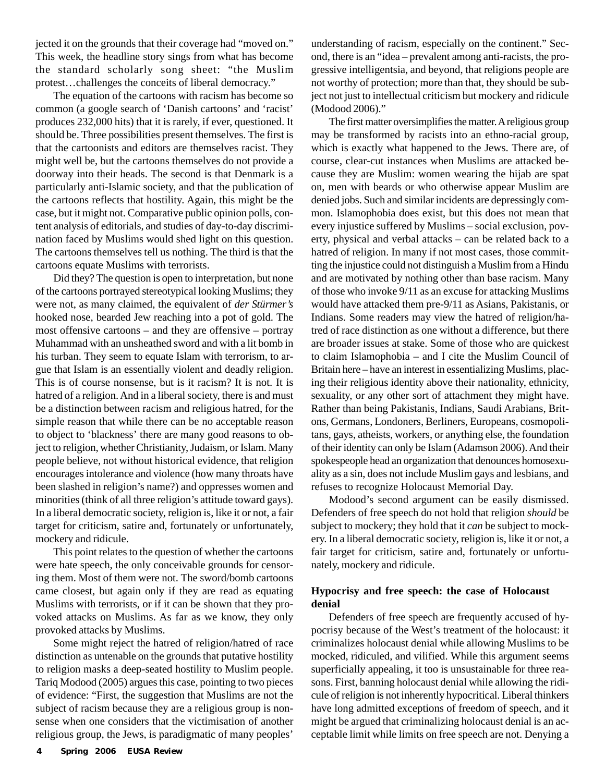jected it on the grounds that their coverage had "moved on." This week, the headline story sings from what has become the standard scholarly song sheet: "the Muslim protest…challenges the conceits of liberal democracy."

The equation of the cartoons with racism has become so common (a google search of 'Danish cartoons' and 'racist' produces 232,000 hits) that it is rarely, if ever, questioned. It should be. Three possibilities present themselves. The first is that the cartoonists and editors are themselves racist. They might well be, but the cartoons themselves do not provide a doorway into their heads. The second is that Denmark is a particularly anti-Islamic society, and that the publication of the cartoons reflects that hostility. Again, this might be the case, but it might not. Comparative public opinion polls, content analysis of editorials, and studies of day-to-day discrimination faced by Muslims would shed light on this question. The cartoons themselves tell us nothing. The third is that the cartoons equate Muslims with terrorists.

Did they? The question is open to interpretation, but none of the cartoons portrayed stereotypical looking Muslims; they were not, as many claimed, the equivalent of *der Stürmer's* hooked nose, bearded Jew reaching into a pot of gold. The most offensive cartoons – and they are offensive – portray Muhammad with an unsheathed sword and with a lit bomb in his turban. They seem to equate Islam with terrorism, to argue that Islam is an essentially violent and deadly religion. This is of course nonsense, but is it racism? It is not. It is hatred of a religion. And in a liberal society, there is and must be a distinction between racism and religious hatred, for the simple reason that while there can be no acceptable reason to object to 'blackness' there are many good reasons to object to religion, whether Christianity, Judaism, or Islam. Many people believe, not without historical evidence, that religion encourages intolerance and violence (how many throats have been slashed in religion's name?) and oppresses women and minorities (think of all three religion's attitude toward gays). In a liberal democratic society, religion is, like it or not, a fair target for criticism, satire and, fortunately or unfortunately, mockery and ridicule.

This point relates to the question of whether the cartoons were hate speech, the only conceivable grounds for censoring them. Most of them were not. The sword/bomb cartoons came closest, but again only if they are read as equating Muslims with terrorists, or if it can be shown that they provoked attacks on Muslims. As far as we know, they only provoked attacks by Muslims.

Some might reject the hatred of religion/hatred of race distinction as untenable on the grounds that putative hostility to religion masks a deep-seated hostility to Muslim people. Tariq Modood (2005) argues this case, pointing to two pieces of evidence: "First, the suggestion that Muslims are not the subject of racism because they are a religious group is nonsense when one considers that the victimisation of another religious group, the Jews, is paradigmatic of many peoples' understanding of racism, especially on the continent." Second, there is an "idea – prevalent among anti-racists, the progressive intelligentsia, and beyond, that religions people are not worthy of protection; more than that, they should be subject not just to intellectual criticism but mockery and ridicule (Modood 2006)."

The first matter oversimplifies the matter. A religious group may be transformed by racists into an ethno-racial group, which is exactly what happened to the Jews. There are, of course, clear-cut instances when Muslims are attacked because they are Muslim: women wearing the hijab are spat on, men with beards or who otherwise appear Muslim are denied jobs. Such and similar incidents are depressingly common. Islamophobia does exist, but this does not mean that every injustice suffered by Muslims – social exclusion, poverty, physical and verbal attacks – can be related back to a hatred of religion. In many if not most cases, those committing the injustice could not distinguish a Muslim from a Hindu and are motivated by nothing other than base racism. Many of those who invoke 9/11 as an excuse for attacking Muslims would have attacked them pre-9/11 as Asians, Pakistanis, or Indians. Some readers may view the hatred of religion/hatred of race distinction as one without a difference, but there are broader issues at stake. Some of those who are quickest to claim Islamophobia – and I cite the Muslim Council of Britain here – have an interest in essentializing Muslims, placing their religious identity above their nationality, ethnicity, sexuality, or any other sort of attachment they might have. Rather than being Pakistanis, Indians, Saudi Arabians, Britons, Germans, Londoners, Berliners, Europeans, cosmopolitans, gays, atheists, workers, or anything else, the foundation of their identity can only be Islam (Adamson 2006). And their spokespeople head an organization that denounces homosexuality as a sin, does not include Muslim gays and lesbians, and refuses to recognize Holocaust Memorial Day.

Modood's second argument can be easily dismissed. Defenders of free speech do not hold that religion *should* be subject to mockery; they hold that it *can* be subject to mockery. In a liberal democratic society, religion is, like it or not, a fair target for criticism, satire and, fortunately or unfortunately, mockery and ridicule.

#### **Hypocrisy and free speech: the case of Holocaust denial**

Defenders of free speech are frequently accused of hypocrisy because of the West's treatment of the holocaust: it criminalizes holocaust denial while allowing Muslims to be mocked, ridiculed, and vilified. While this argument seems superficially appealing, it too is unsustainable for three reasons. First, banning holocaust denial while allowing the ridicule of religion is not inherently hypocritical. Liberal thinkers have long admitted exceptions of freedom of speech, and it might be argued that criminalizing holocaust denial is an acceptable limit while limits on free speech are not. Denying a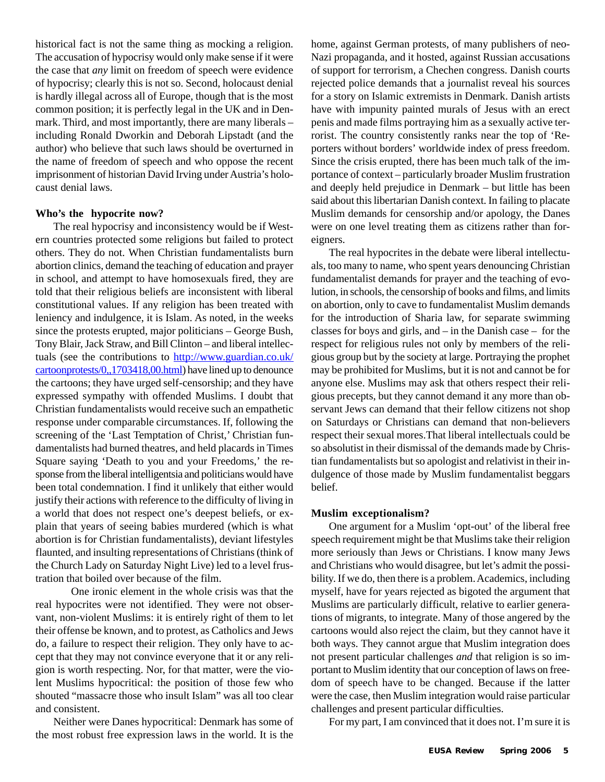historical fact is not the same thing as mocking a religion. The accusation of hypocrisy would only make sense if it were the case that *any* limit on freedom of speech were evidence of hypocrisy; clearly this is not so. Second, holocaust denial is hardly illegal across all of Europe, though that is the most common position; it is perfectly legal in the UK and in Denmark. Third, and most importantly, there are many liberals – including Ronald Dworkin and Deborah Lipstadt (and the author) who believe that such laws should be overturned in the name of freedom of speech and who oppose the recent imprisonment of historian David Irving under Austria's holocaust denial laws.

#### **Who's the hypocrite now?**

The real hypocrisy and inconsistency would be if Western countries protected some religions but failed to protect others. They do not. When Christian fundamentalists burn abortion clinics, demand the teaching of education and prayer in school, and attempt to have homosexuals fired, they are told that their religious beliefs are inconsistent with liberal constitutional values. If any religion has been treated with leniency and indulgence, it is Islam. As noted, in the weeks since the protests erupted, major politicians – George Bush, Tony Blair, Jack Straw, and Bill Clinton – and liberal intellectuals (see the contributions to http://www.guardian.co.uk/ cartoonprotests/0,,1703418,00.html) have lined up to denounce the cartoons; they have urged self-censorship; and they have expressed sympathy with offended Muslims. I doubt that Christian fundamentalists would receive such an empathetic response under comparable circumstances. If, following the screening of the 'Last Temptation of Christ,' Christian fundamentalists had burned theatres, and held placards in Times Square saying 'Death to you and your Freedoms,' the response from the liberal intelligentsia and politicians would have been total condemnation. I find it unlikely that either would justify their actions with reference to the difficulty of living in a world that does not respect one's deepest beliefs, or explain that years of seeing babies murdered (which is what abortion is for Christian fundamentalists), deviant lifestyles flaunted, and insulting representations of Christians (think of the Church Lady on Saturday Night Live) led to a level frustration that boiled over because of the film.

One ironic element in the whole crisis was that the real hypocrites were not identified. They were not observant, non-violent Muslims: it is entirely right of them to let their offense be known, and to protest, as Catholics and Jews do, a failure to respect their religion. They only have to accept that they may not convince everyone that it or any religion is worth respecting. Nor, for that matter, were the violent Muslims hypocritical: the position of those few who shouted "massacre those who insult Islam" was all too clear and consistent.

Neither were Danes hypocritical: Denmark has some of the most robust free expression laws in the world. It is the

home, against German protests, of many publishers of neo-Nazi propaganda, and it hosted, against Russian accusations of support for terrorism, a Chechen congress. Danish courts rejected police demands that a journalist reveal his sources for a story on Islamic extremists in Denmark. Danish artists have with impunity painted murals of Jesus with an erect penis and made films portraying him as a sexually active terrorist. The country consistently ranks near the top of 'Reporters without borders' worldwide index of press freedom. Since the crisis erupted, there has been much talk of the importance of context – particularly broader Muslim frustration and deeply held prejudice in Denmark – but little has been said about this libertarian Danish context. In failing to placate Muslim demands for censorship and/or apology, the Danes were on one level treating them as citizens rather than foreigners.

The real hypocrites in the debate were liberal intellectuals, too many to name, who spent years denouncing Christian fundamentalist demands for prayer and the teaching of evolution, in schools, the censorship of books and films, and limits on abortion, only to cave to fundamentalist Muslim demands for the introduction of Sharia law, for separate swimming classes for boys and girls, and – in the Danish case – for the respect for religious rules not only by members of the religious group but by the society at large. Portraying the prophet may be prohibited for Muslims, but it is not and cannot be for anyone else. Muslims may ask that others respect their religious precepts, but they cannot demand it any more than observant Jews can demand that their fellow citizens not shop on Saturdays or Christians can demand that non-believers respect their sexual mores.That liberal intellectuals could be so absolutist in their dismissal of the demands made by Christian fundamentalists but so apologist and relativist in their indulgence of those made by Muslim fundamentalist beggars belief.

#### **Muslim exceptionalism?**

One argument for a Muslim 'opt-out' of the liberal free speech requirement might be that Muslims take their religion more seriously than Jews or Christians. I know many Jews and Christians who would disagree, but let's admit the possibility. If we do, then there is a problem. Academics, including myself, have for years rejected as bigoted the argument that Muslims are particularly difficult, relative to earlier generations of migrants, to integrate. Many of those angered by the cartoons would also reject the claim, but they cannot have it both ways. They cannot argue that Muslim integration does not present particular challenges *and* that religion is so important to Muslim identity that our conception of laws on freedom of speech have to be changed. Because if the latter were the case, then Muslim integration would raise particular challenges and present particular difficulties.

For my part, I am convinced that it does not. I'm sure it is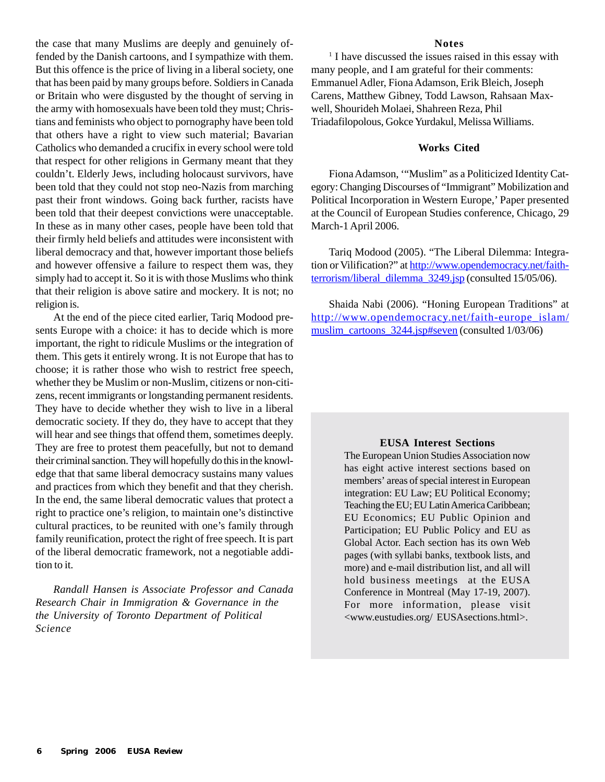the case that many Muslims are deeply and genuinely offended by the Danish cartoons, and I sympathize with them. But this offence is the price of living in a liberal society, one that has been paid by many groups before. Soldiers in Canada or Britain who were disgusted by the thought of serving in the army with homosexuals have been told they must; Christians and feminists who object to pornography have been told that others have a right to view such material; Bavarian Catholics who demanded a crucifix in every school were told that respect for other religions in Germany meant that they couldn't. Elderly Jews, including holocaust survivors, have been told that they could not stop neo-Nazis from marching past their front windows. Going back further, racists have been told that their deepest convictions were unacceptable. In these as in many other cases, people have been told that their firmly held beliefs and attitudes were inconsistent with liberal democracy and that, however important those beliefs and however offensive a failure to respect them was, they simply had to accept it. So it is with those Muslims who think that their religion is above satire and mockery. It is not; no religion is.

At the end of the piece cited earlier, Tariq Modood presents Europe with a choice: it has to decide which is more important, the right to ridicule Muslims or the integration of them. This gets it entirely wrong. It is not Europe that has to choose; it is rather those who wish to restrict free speech, whether they be Muslim or non-Muslim, citizens or non-citizens, recent immigrants or longstanding permanent residents. They have to decide whether they wish to live in a liberal democratic society. If they do, they have to accept that they will hear and see things that offend them, sometimes deeply. They are free to protest them peacefully, but not to demand their criminal sanction. They will hopefully do this in the knowledge that that same liberal democracy sustains many values and practices from which they benefit and that they cherish. In the end, the same liberal democratic values that protect a right to practice one's religion, to maintain one's distinctive cultural practices, to be reunited with one's family through family reunification, protect the right of free speech. It is part of the liberal democratic framework, not a negotiable addition to it.

*Randall Hansen is Associate Professor and Canada Research Chair in Immigration & Governance in the the University of Toronto Department of Political Science*

#### **Notes**

<sup>1</sup> I have discussed the issues raised in this essay with many people, and I am grateful for their comments: Emmanuel Adler, Fiona Adamson, Erik Bleich, Joseph Carens, Matthew Gibney, Todd Lawson, Rahsaan Maxwell, Shourideh Molaei, Shahreen Reza, Phil Triadafilopolous, Gokce Yurdakul, Melissa Williams.

#### **Works Cited**

Fiona Adamson, '"Muslim" as a Politicized Identity Category: Changing Discourses of "Immigrant" Mobilization and Political Incorporation in Western Europe,' Paper presented at the Council of European Studies conference, Chicago, 29 March-1 April 2006.

Tariq Modood (2005). "The Liberal Dilemma: Integration or Vilification?" at http://www.opendemocracy.net/faithterrorism/liberal\_dilemma\_3249.jsp (consulted 15/05/06).

Shaida Nabi (2006). "Honing European Traditions" at http://www.opendemocracy.net/faith-europe\_islam/ muslim\_cartoons\_3244.jsp#seven (consulted 1/03/06)

#### **EUSA Interest Sections**

The European Union Studies Association now has eight active interest sections based on members' areas of special interest in European integration: EU Law; EU Political Economy; Teaching the EU; EU Latin America Caribbean; EU Economics; EU Public Opinion and Participation; EU Public Policy and EU as Global Actor. Each section has its own Web pages (with syllabi banks, textbook lists, and more) and e-mail distribution list, and all will hold business meetings at the EUSA Conference in Montreal (May 17-19, 2007). For more information, please visit <www.eustudies.org/ EUSAsections.html>.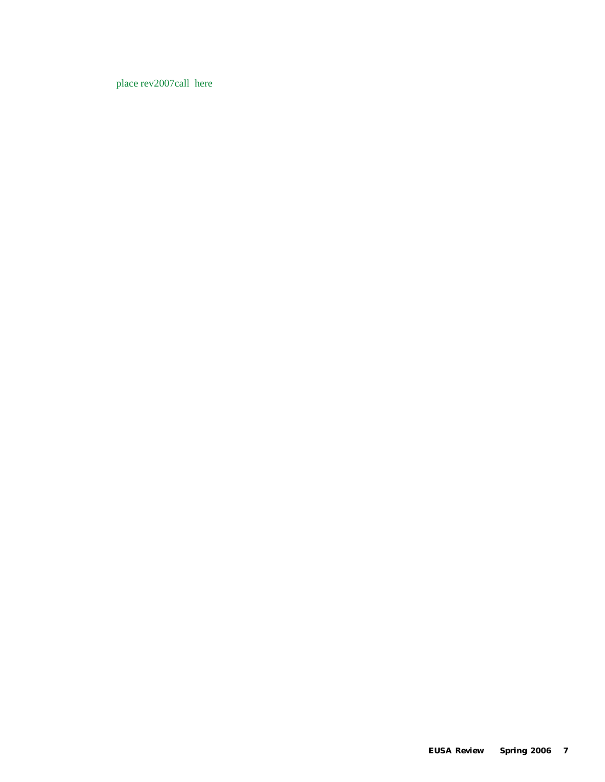place rev2007call here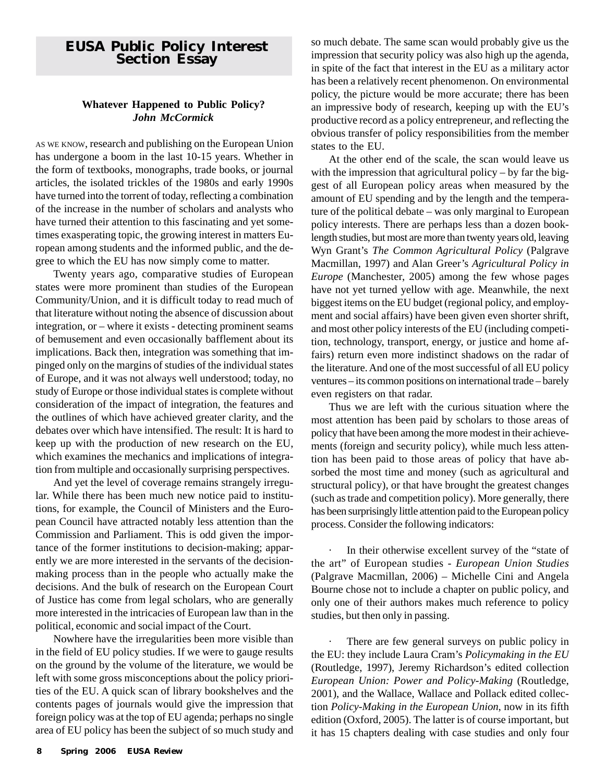# **EUSA Public Policy Interest Section Essay**

#### **Whatever Happened to Public Policy?** *John McCormick*

AS WE KNOW, research and publishing on the European Union has undergone a boom in the last 10-15 years. Whether in the form of textbooks, monographs, trade books, or journal articles, the isolated trickles of the 1980s and early 1990s have turned into the torrent of today, reflecting a combination of the increase in the number of scholars and analysts who have turned their attention to this fascinating and yet sometimes exasperating topic, the growing interest in matters European among students and the informed public, and the degree to which the EU has now simply come to matter.

Twenty years ago, comparative studies of European states were more prominent than studies of the European Community/Union, and it is difficult today to read much of that literature without noting the absence of discussion about integration, or – where it exists - detecting prominent seams of bemusement and even occasionally bafflement about its implications. Back then, integration was something that impinged only on the margins of studies of the individual states of Europe, and it was not always well understood; today, no study of Europe or those individual states is complete without consideration of the impact of integration, the features and the outlines of which have achieved greater clarity, and the debates over which have intensified. The result: It is hard to keep up with the production of new research on the EU, which examines the mechanics and implications of integration from multiple and occasionally surprising perspectives.

And yet the level of coverage remains strangely irregular. While there has been much new notice paid to institutions, for example, the Council of Ministers and the European Council have attracted notably less attention than the Commission and Parliament. This is odd given the importance of the former institutions to decision-making; apparently we are more interested in the servants of the decisionmaking process than in the people who actually make the decisions. And the bulk of research on the European Court of Justice has come from legal scholars, who are generally more interested in the intricacies of European law than in the political, economic and social impact of the Court.

Nowhere have the irregularities been more visible than in the field of EU policy studies. If we were to gauge results on the ground by the volume of the literature, we would be left with some gross misconceptions about the policy priorities of the EU. A quick scan of library bookshelves and the contents pages of journals would give the impression that foreign policy was at the top of EU agenda; perhaps no single area of EU policy has been the subject of so much study and

so much debate. The same scan would probably give us the impression that security policy was also high up the agenda, in spite of the fact that interest in the EU as a military actor has been a relatively recent phenomenon. On environmental policy, the picture would be more accurate; there has been an impressive body of research, keeping up with the EU's productive record as a policy entrepreneur, and reflecting the obvious transfer of policy responsibilities from the member states to the EU.

At the other end of the scale, the scan would leave us with the impression that agricultural policy – by far the biggest of all European policy areas when measured by the amount of EU spending and by the length and the temperature of the political debate – was only marginal to European policy interests. There are perhaps less than a dozen booklength studies, but most are more than twenty years old, leaving Wyn Grant's *The Common Agricultural Policy* (Palgrave Macmillan, 1997) and Alan Greer's *Agricultural Policy in Europe* (Manchester, 2005) among the few whose pages have not yet turned yellow with age. Meanwhile, the next biggest items on the EU budget (regional policy, and employment and social affairs) have been given even shorter shrift, and most other policy interests of the EU (including competition, technology, transport, energy, or justice and home affairs) return even more indistinct shadows on the radar of the literature. And one of the most successful of all EU policy ventures – its common positions on international trade – barely even registers on that radar.

Thus we are left with the curious situation where the most attention has been paid by scholars to those areas of policy that have been among the more modest in their achievements (foreign and security policy), while much less attention has been paid to those areas of policy that have absorbed the most time and money (such as agricultural and structural policy), or that have brought the greatest changes (such as trade and competition policy). More generally, there has been surprisingly little attention paid to the European policy process. Consider the following indicators:

In their otherwise excellent survey of the "state of the art" of European studies - *European Union Studies* (Palgrave Macmillan, 2006) – Michelle Cini and Angela Bourne chose not to include a chapter on public policy, and only one of their authors makes much reference to policy studies, but then only in passing.

There are few general surveys on public policy in the EU: they include Laura Cram's *Policymaking in the EU* (Routledge, 1997), Jeremy Richardson's edited collection *European Union: Power and Policy-Making* (Routledge, 2001), and the Wallace, Wallace and Pollack edited collection *Policy-Making in the European Union*, now in its fifth edition (Oxford, 2005). The latter is of course important, but it has 15 chapters dealing with case studies and only four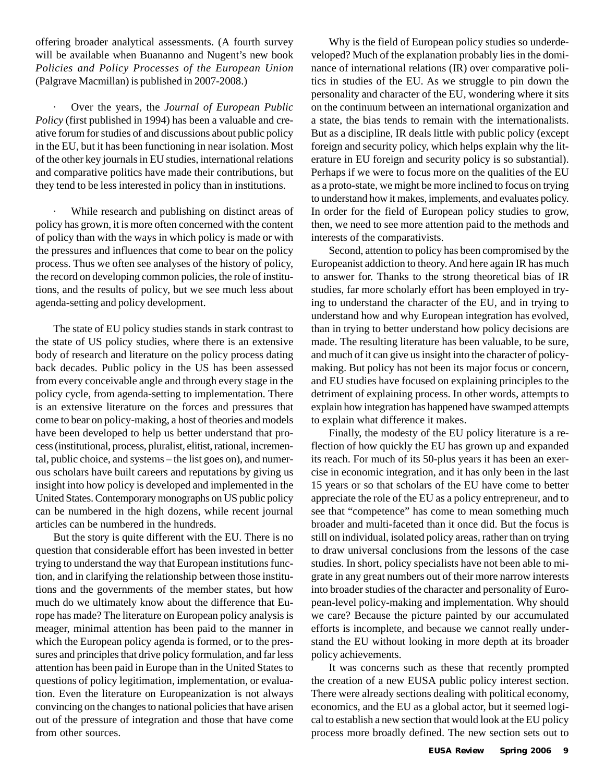offering broader analytical assessments. (A fourth survey will be available when Buananno and Nugent's new book *Policies and Policy Processes of the European Union* (Palgrave Macmillan) is published in 2007-2008.)

Over the years, the *Journal of European Public Policy* (first published in 1994) has been a valuable and creative forum for studies of and discussions about public policy in the EU, but it has been functioning in near isolation. Most of the other key journals in EU studies, international relations and comparative politics have made their contributions, but they tend to be less interested in policy than in institutions.

While research and publishing on distinct areas of policy has grown, it is more often concerned with the content of policy than with the ways in which policy is made or with the pressures and influences that come to bear on the policy process. Thus we often see analyses of the history of policy, the record on developing common policies, the role of institutions, and the results of policy, but we see much less about agenda-setting and policy development.

The state of EU policy studies stands in stark contrast to the state of US policy studies, where there is an extensive body of research and literature on the policy process dating back decades. Public policy in the US has been assessed from every conceivable angle and through every stage in the policy cycle, from agenda-setting to implementation. There is an extensive literature on the forces and pressures that come to bear on policy-making, a host of theories and models have been developed to help us better understand that process (institutional, process, pluralist, elitist, rational, incremental, public choice, and systems – the list goes on), and numerous scholars have built careers and reputations by giving us insight into how policy is developed and implemented in the United States. Contemporary monographs on US public policy can be numbered in the high dozens, while recent journal articles can be numbered in the hundreds.

But the story is quite different with the EU. There is no question that considerable effort has been invested in better trying to understand the way that European institutions function, and in clarifying the relationship between those institutions and the governments of the member states, but how much do we ultimately know about the difference that Europe has made? The literature on European policy analysis is meager, minimal attention has been paid to the manner in which the European policy agenda is formed, or to the pressures and principles that drive policy formulation, and far less attention has been paid in Europe than in the United States to questions of policy legitimation, implementation, or evaluation. Even the literature on Europeanization is not always convincing on the changes to national policies that have arisen out of the pressure of integration and those that have come from other sources.

Why is the field of European policy studies so underdeveloped? Much of the explanation probably lies in the dominance of international relations (IR) over comparative politics in studies of the EU. As we struggle to pin down the personality and character of the EU, wondering where it sits on the continuum between an international organization and a state, the bias tends to remain with the internationalists. But as a discipline, IR deals little with public policy (except foreign and security policy, which helps explain why the literature in EU foreign and security policy is so substantial). Perhaps if we were to focus more on the qualities of the EU as a proto-state, we might be more inclined to focus on trying to understand how it makes, implements, and evaluates policy. In order for the field of European policy studies to grow, then, we need to see more attention paid to the methods and interests of the comparativists.

Second, attention to policy has been compromised by the Europeanist addiction to theory. And here again IR has much to answer for. Thanks to the strong theoretical bias of IR studies, far more scholarly effort has been employed in trying to understand the character of the EU, and in trying to understand how and why European integration has evolved, than in trying to better understand how policy decisions are made. The resulting literature has been valuable, to be sure, and much of it can give us insight into the character of policymaking. But policy has not been its major focus or concern, and EU studies have focused on explaining principles to the detriment of explaining process. In other words, attempts to explain how integration has happened have swamped attempts to explain what difference it makes.

Finally, the modesty of the EU policy literature is a reflection of how quickly the EU has grown up and expanded its reach. For much of its 50-plus years it has been an exercise in economic integration, and it has only been in the last 15 years or so that scholars of the EU have come to better appreciate the role of the EU as a policy entrepreneur, and to see that "competence" has come to mean something much broader and multi-faceted than it once did. But the focus is still on individual, isolated policy areas, rather than on trying to draw universal conclusions from the lessons of the case studies. In short, policy specialists have not been able to migrate in any great numbers out of their more narrow interests into broader studies of the character and personality of European-level policy-making and implementation. Why should we care? Because the picture painted by our accumulated efforts is incomplete, and because we cannot really understand the EU without looking in more depth at its broader policy achievements.

It was concerns such as these that recently prompted the creation of a new EUSA public policy interest section. There were already sections dealing with political economy, economics, and the EU as a global actor, but it seemed logical to establish a new section that would look at the EU policy process more broadly defined. The new section sets out to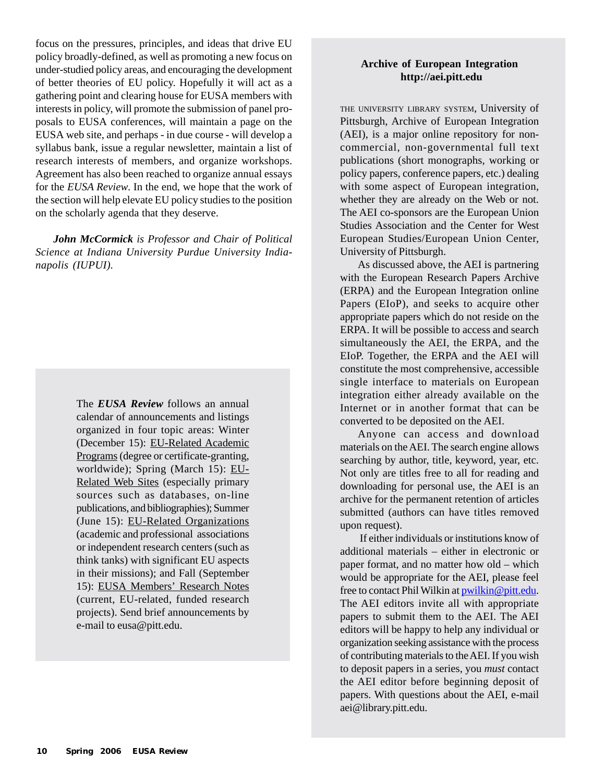focus on the pressures, principles, and ideas that drive EU policy broadly-defined, as well as promoting a new focus on under-studied policy areas, and encouraging the development of better theories of EU policy. Hopefully it will act as a gathering point and clearing house for EUSA members with interests in policy, will promote the submission of panel proposals to EUSA conferences, will maintain a page on the EUSA web site, and perhaps - in due course - will develop a syllabus bank, issue a regular newsletter, maintain a list of research interests of members, and organize workshops. Agreement has also been reached to organize annual essays for the *EUSA Review*. In the end, we hope that the work of the section will help elevate EU policy studies to the position on the scholarly agenda that they deserve.

*John McCormick is Professor and Chair of Political Science at Indiana University Purdue University Indianapolis (IUPUI).*

> The *EUSA Review* follows an annual calendar of announcements and listings organized in four topic areas: Winter (December 15): EU-Related Academic Programs (degree or certificate-granting, worldwide); Spring (March 15): EU-Related Web Sites (especially primary sources such as databases, on-line publications, and bibliographies); Summer (June 15): EU-Related Organizations (academic and professional associations or independent research centers (such as think tanks) with significant EU aspects in their missions); and Fall (September 15): EUSA Members' Research Notes (current, EU-related, funded research projects). Send brief announcements by e-mail to eusa@pitt.edu.

#### **Archive of European Integration http://aei.pitt.edu**

THE UNIVERSITY LIBRARY SYSTEM, University of Pittsburgh, Archive of European Integration (AEI), is a major online repository for noncommercial, non-governmental full text publications (short monographs, working or policy papers, conference papers, etc.) dealing with some aspect of European integration, whether they are already on the Web or not. The AEI co-sponsors are the European Union Studies Association and the Center for West European Studies/European Union Center, University of Pittsburgh.

As discussed above, the AEI is partnering with the European Research Papers Archive (ERPA) and the European Integration online Papers (EIoP), and seeks to acquire other appropriate papers which do not reside on the ERPA. It will be possible to access and search simultaneously the AEI, the ERPA, and the EIoP. Together, the ERPA and the AEI will constitute the most comprehensive, accessible single interface to materials on European integration either already available on the Internet or in another format that can be converted to be deposited on the AEI.

Anyone can access and download materials on the AEI. The search engine allows searching by author, title, keyword, year, etc. Not only are titles free to all for reading and downloading for personal use, the AEI is an archive for the permanent retention of articles submitted (authors can have titles removed upon request).

 If either individuals or institutions know of additional materials – either in electronic or paper format, and no matter how old – which would be appropriate for the AEI, please feel free to contact Phil Wilkin at *pwilkin@pitt.edu*. The AEI editors invite all with appropriate papers to submit them to the AEI. The AEI editors will be happy to help any individual or organization seeking assistance with the process of contributing materials to the AEI. If you wish to deposit papers in a series, you *must* contact the AEI editor before beginning deposit of papers. With questions about the AEI, e-mail aei@library.pitt.edu.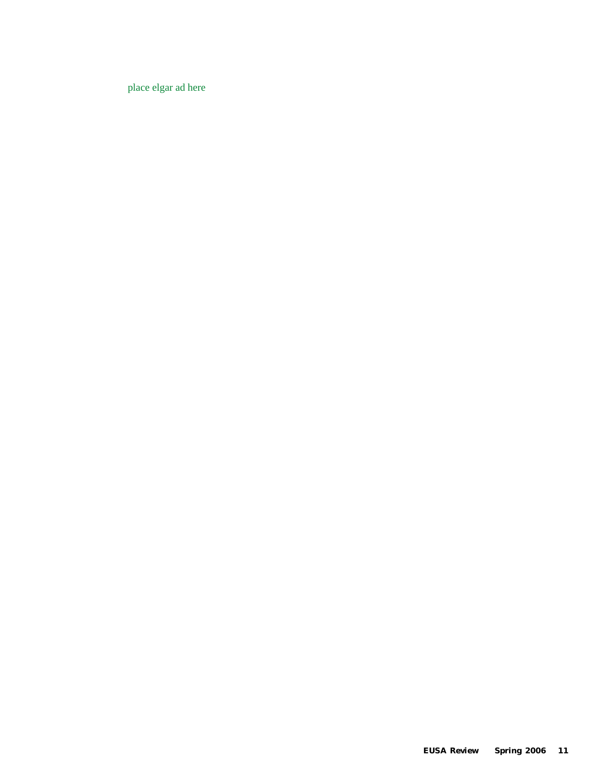place elgar ad here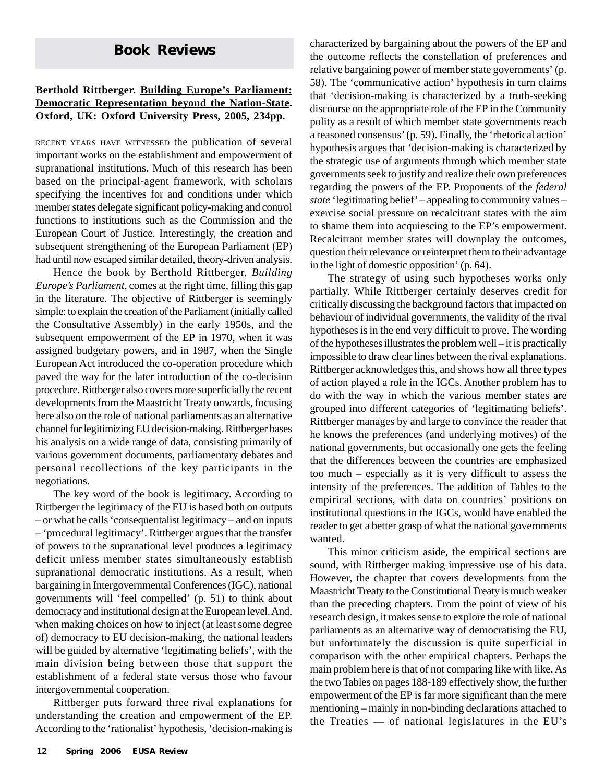# **Book Reviews**

#### **Berthold Rittberger. Building Europe's Parliament: Democratic Representation beyond the Nation-State. Oxford, UK: Oxford University Press, 2005, 234pp.**

RECENT YEARS HAVE WITNESSED the publication of several important works on the establishment and empowerment of supranational institutions. Much of this research has been based on the principal-agent framework, with scholars specifying the incentives for and conditions under which member states delegate significant policy-making and control functions to institutions such as the Commission and the European Court of Justice. Interestingly, the creation and subsequent strengthening of the European Parliament (EP) had until now escaped similar detailed, theory-driven analysis.

Hence the book by Berthold Rittberger, *Building Europe's Parliament*, comes at the right time, filling this gap in the literature. The objective of Rittberger is seemingly simple: to explain the creation of the Parliament (initially called the Consultative Assembly) in the early 1950s, and the subsequent empowerment of the EP in 1970, when it was assigned budgetary powers, and in 1987, when the Single European Act introduced the co-operation procedure which paved the way for the later introduction of the co-decision procedure. Rittberger also covers more superficially the recent developments from the Maastricht Treaty onwards, focusing here also on the role of national parliaments as an alternative channel for legitimizing EU decision-making. Rittberger bases his analysis on a wide range of data, consisting primarily of various government documents, parliamentary debates and personal recollections of the key participants in the negotiations.

The key word of the book is legitimacy. According to Rittberger the legitimacy of the EU is based both on outputs – or what he calls 'consequentalist legitimacy – and on inputs – 'procedural legitimacy'. Rittberger argues that the transfer of powers to the supranational level produces a legitimacy deficit unless member states simultaneously establish supranational democratic institutions. As a result, when bargaining in Intergovernmental Conferences (IGC), national governments will 'feel compelled' (p. 51) to think about democracy and institutional design at the European level. And, when making choices on how to inject (at least some degree of) democracy to EU decision-making, the national leaders will be guided by alternative 'legitimating beliefs', with the main division being between those that support the establishment of a federal state versus those who favour intergovernmental cooperation.

Rittberger puts forward three rival explanations for understanding the creation and empowerment of the EP. According to the 'rationalist' hypothesis, 'decision-making is characterized by bargaining about the powers of the EP and the outcome reflects the constellation of preferences and relative bargaining power of member state governments' (p. 58). The 'communicative action' hypothesis in turn claims that 'decision-making is characterized by a truth-seeking discourse on the appropriate role of the EP in the Community polity as a result of which member state governments reach a reasoned consensus' (p. 59). Finally, the 'rhetorical action' hypothesis argues that 'decision-making is characterized by the strategic use of arguments through which member state governments seek to justify and realize their own preferences regarding the powers of the EP. Proponents of the *federal state* 'legitimating belief' – appealing to community values – exercise social pressure on recalcitrant states with the aim to shame them into acquiescing to the EP's empowerment. Recalcitrant member states will downplay the outcomes, question their relevance or reinterpret them to their advantage in the light of domestic opposition' (p. 64).

The strategy of using such hypotheses works only partially. While Rittberger certainly deserves credit for critically discussing the background factors that impacted on behaviour of individual governments, the validity of the rival hypotheses is in the end very difficult to prove. The wording of the hypotheses illustrates the problem well – it is practically impossible to draw clear lines between the rival explanations. Rittberger acknowledges this, and shows how all three types of action played a role in the IGCs. Another problem has to do with the way in which the various member states are grouped into different categories of 'legitimating beliefs'. Rittberger manages by and large to convince the reader that he knows the preferences (and underlying motives) of the national governments, but occasionally one gets the feeling that the differences between the countries are emphasized too much – especially as it is very difficult to assess the intensity of the preferences. The addition of Tables to the empirical sections, with data on countries' positions on institutional questions in the IGCs, would have enabled the reader to get a better grasp of what the national governments wanted.

This minor criticism aside, the empirical sections are sound, with Rittberger making impressive use of his data. However, the chapter that covers developments from the Maastricht Treaty to the Constitutional Treaty is much weaker than the preceding chapters. From the point of view of his research design, it makes sense to explore the role of national parliaments as an alternative way of democratising the EU, but unfortunately the discussion is quite superficial in comparison with the other empirical chapters. Perhaps the main problem here is that of not comparing like with like. As the two Tables on pages 188-189 effectively show, the further empowerment of the EP is far more significant than the mere mentioning – mainly in non-binding declarations attached to the Treaties — of national legislatures in the EU's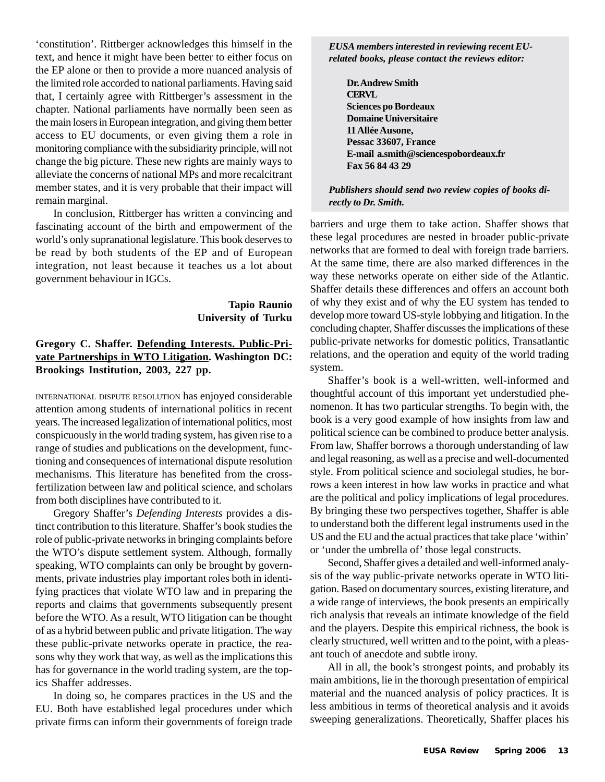'constitution'. Rittberger acknowledges this himself in the text, and hence it might have been better to either focus on the EP alone or then to provide a more nuanced analysis of the limited role accorded to national parliaments. Having said that, I certainly agree with Rittberger's assessment in the chapter. National parliaments have normally been seen as the main losers in European integration, and giving them better access to EU documents, or even giving them a role in monitoring compliance with the subsidiarity principle, will not change the big picture. These new rights are mainly ways to alleviate the concerns of national MPs and more recalcitrant member states, and it is very probable that their impact will remain marginal.

In conclusion, Rittberger has written a convincing and fascinating account of the birth and empowerment of the world's only supranational legislature. This book deserves to be read by both students of the EP and of European integration, not least because it teaches us a lot about government behaviour in IGCs.

#### **Tapio Raunio University of Turku**

#### **Gregory C. Shaffer. Defending Interests. Public-Private Partnerships in WTO Litigation. Washington DC: Brookings Institution, 2003, 227 pp.**

INTERNATIONAL DISPUTE RESOLUTION has enjoyed considerable attention among students of international politics in recent years. The increased legalization of international politics, most conspicuously in the world trading system, has given rise to a range of studies and publications on the development, functioning and consequences of international dispute resolution mechanisms. This literature has benefited from the crossfertilization between law and political science, and scholars from both disciplines have contributed to it.

Gregory Shaffer's *Defending Interests* provides a distinct contribution to this literature. Shaffer's book studies the role of public-private networks in bringing complaints before the WTO's dispute settlement system. Although, formally speaking, WTO complaints can only be brought by governments, private industries play important roles both in identifying practices that violate WTO law and in preparing the reports and claims that governments subsequently present before the WTO. As a result, WTO litigation can be thought of as a hybrid between public and private litigation. The way these public-private networks operate in practice, the reasons why they work that way, as well as the implications this has for governance in the world trading system, are the topics Shaffer addresses.

In doing so, he compares practices in the US and the EU. Both have established legal procedures under which private firms can inform their governments of foreign trade *EUSA members interested in reviewing recent EUrelated books, please contact the reviews editor:*

**Dr. Andrew Smith CERVL Sciences po Bordeaux Domaine Universitaire 11 Allée Ausone, Pessac 33607, France E-mail a.smith@sciencespobordeaux.fr Fax 56 84 43 29**

#### *Publishers should send two review copies of books directly to Dr. Smith.*

barriers and urge them to take action. Shaffer shows that these legal procedures are nested in broader public-private networks that are formed to deal with foreign trade barriers. At the same time, there are also marked differences in the way these networks operate on either side of the Atlantic. Shaffer details these differences and offers an account both of why they exist and of why the EU system has tended to develop more toward US-style lobbying and litigation. In the concluding chapter, Shaffer discusses the implications of these public-private networks for domestic politics, Transatlantic relations, and the operation and equity of the world trading system.

Shaffer's book is a well-written, well-informed and thoughtful account of this important yet understudied phenomenon. It has two particular strengths. To begin with, the book is a very good example of how insights from law and political science can be combined to produce better analysis. From law, Shaffer borrows a thorough understanding of law and legal reasoning, as well as a precise and well-documented style. From political science and sociolegal studies, he borrows a keen interest in how law works in practice and what are the political and policy implications of legal procedures. By bringing these two perspectives together, Shaffer is able to understand both the different legal instruments used in the US and the EU and the actual practices that take place 'within' or 'under the umbrella of' those legal constructs.

Second, Shaffer gives a detailed and well-informed analysis of the way public-private networks operate in WTO litigation. Based on documentary sources, existing literature, and a wide range of interviews, the book presents an empirically rich analysis that reveals an intimate knowledge of the field and the players. Despite this empirical richness, the book is clearly structured, well written and to the point, with a pleasant touch of anecdote and subtle irony.

All in all, the book's strongest points, and probably its main ambitions, lie in the thorough presentation of empirical material and the nuanced analysis of policy practices. It is less ambitious in terms of theoretical analysis and it avoids sweeping generalizations. Theoretically, Shaffer places his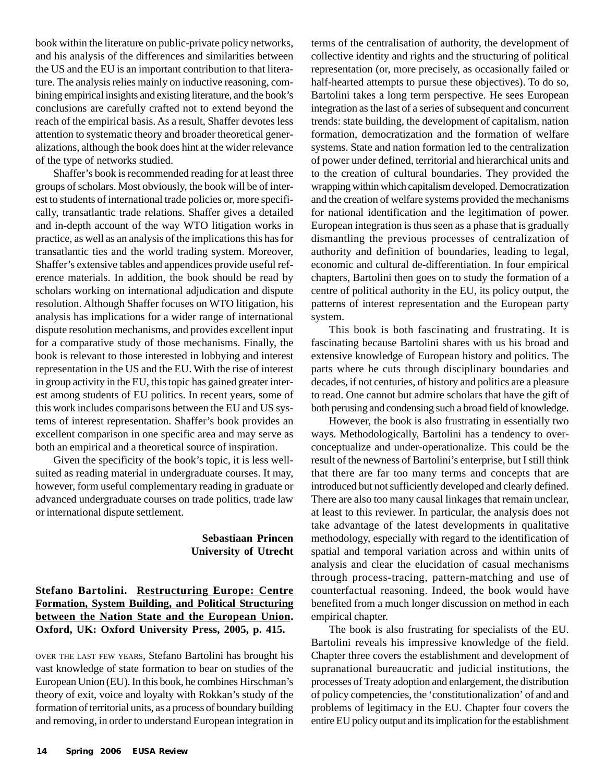book within the literature on public-private policy networks, and his analysis of the differences and similarities between the US and the EU is an important contribution to that literature. The analysis relies mainly on inductive reasoning, combining empirical insights and existing literature, and the book's conclusions are carefully crafted not to extend beyond the reach of the empirical basis. As a result, Shaffer devotes less attention to systematic theory and broader theoretical generalizations, although the book does hint at the wider relevance of the type of networks studied.

Shaffer's book is recommended reading for at least three groups of scholars. Most obviously, the book will be of interest to students of international trade policies or, more specifically, transatlantic trade relations. Shaffer gives a detailed and in-depth account of the way WTO litigation works in practice, as well as an analysis of the implications this has for transatlantic ties and the world trading system. Moreover, Shaffer's extensive tables and appendices provide useful reference materials. In addition, the book should be read by scholars working on international adjudication and dispute resolution. Although Shaffer focuses on WTO litigation, his analysis has implications for a wider range of international dispute resolution mechanisms, and provides excellent input for a comparative study of those mechanisms. Finally, the book is relevant to those interested in lobbying and interest representation in the US and the EU. With the rise of interest in group activity in the EU, this topic has gained greater interest among students of EU politics. In recent years, some of this work includes comparisons between the EU and US systems of interest representation. Shaffer's book provides an excellent comparison in one specific area and may serve as both an empirical and a theoretical source of inspiration.

Given the specificity of the book's topic, it is less wellsuited as reading material in undergraduate courses. It may, however, form useful complementary reading in graduate or advanced undergraduate courses on trade politics, trade law or international dispute settlement.

#### **Sebastiaan Princen University of Utrecht**

#### **Stefano Bartolini. Restructuring Europe: Centre Formation, System Building, and Political Structuring between the Nation State and the European Union. Oxford, UK: Oxford University Press, 2005, p. 415.**

OVER THE LAST FEW YEARS, Stefano Bartolini has brought his vast knowledge of state formation to bear on studies of the European Union (EU). In this book, he combines Hirschman's theory of exit, voice and loyalty with Rokkan's study of the formation of territorial units, as a process of boundary building and removing, in order to understand European integration in terms of the centralisation of authority, the development of collective identity and rights and the structuring of political representation (or, more precisely, as occasionally failed or half-hearted attempts to pursue these objectives). To do so, Bartolini takes a long term perspective. He sees European integration as the last of a series of subsequent and concurrent trends: state building, the development of capitalism, nation formation, democratization and the formation of welfare systems. State and nation formation led to the centralization of power under defined, territorial and hierarchical units and to the creation of cultural boundaries. They provided the wrapping within which capitalism developed. Democratization and the creation of welfare systems provided the mechanisms for national identification and the legitimation of power. European integration is thus seen as a phase that is gradually dismantling the previous processes of centralization of authority and definition of boundaries, leading to legal, economic and cultural de-differentiation. In four empirical chapters, Bartolini then goes on to study the formation of a centre of political authority in the EU, its policy output, the patterns of interest representation and the European party system.

This book is both fascinating and frustrating. It is fascinating because Bartolini shares with us his broad and extensive knowledge of European history and politics. The parts where he cuts through disciplinary boundaries and decades, if not centuries, of history and politics are a pleasure to read. One cannot but admire scholars that have the gift of both perusing and condensing such a broad field of knowledge.

However, the book is also frustrating in essentially two ways. Methodologically, Bartolini has a tendency to overconceptualize and under-operationalize. This could be the result of the newness of Bartolini's enterprise, but I still think that there are far too many terms and concepts that are introduced but not sufficiently developed and clearly defined. There are also too many causal linkages that remain unclear, at least to this reviewer. In particular, the analysis does not take advantage of the latest developments in qualitative methodology, especially with regard to the identification of spatial and temporal variation across and within units of analysis and clear the elucidation of casual mechanisms through process-tracing, pattern-matching and use of counterfactual reasoning. Indeed, the book would have benefited from a much longer discussion on method in each empirical chapter.

The book is also frustrating for specialists of the EU. Bartolini reveals his impressive knowledge of the field. Chapter three covers the establishment and development of supranational bureaucratic and judicial institutions, the processes of Treaty adoption and enlargement, the distribution of policy competencies, the 'constitutionalization' of and and problems of legitimacy in the EU. Chapter four covers the entire EU policy output and its implication for the establishment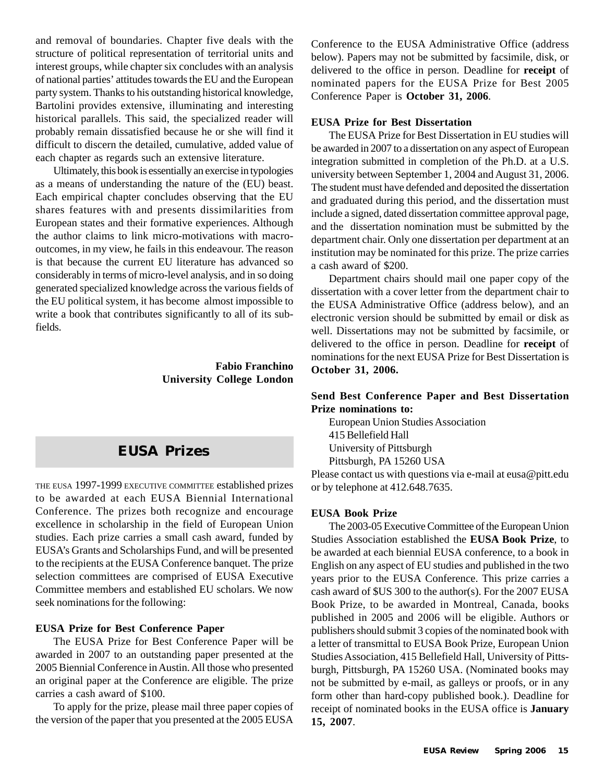and removal of boundaries. Chapter five deals with the structure of political representation of territorial units and interest groups, while chapter six concludes with an analysis of national parties' attitudes towards the EU and the European party system. Thanks to his outstanding historical knowledge, Bartolini provides extensive, illuminating and interesting historical parallels. This said, the specialized reader will probably remain dissatisfied because he or she will find it difficult to discern the detailed, cumulative, added value of each chapter as regards such an extensive literature.

Ultimately, this book is essentially an exercise in typologies as a means of understanding the nature of the (EU) beast. Each empirical chapter concludes observing that the EU shares features with and presents dissimilarities from European states and their formative experiences. Although the author claims to link micro-motivations with macrooutcomes, in my view, he fails in this endeavour. The reason is that because the current EU literature has advanced so considerably in terms of micro-level analysis, and in so doing generated specialized knowledge across the various fields of the EU political system, it has become almost impossible to write a book that contributes significantly to all of its subfields.

> **Fabio Franchino University College London**

### **EUSA Prizes**

THE EUSA 1997-1999 EXECUTIVE COMMITTEE established prizes to be awarded at each EUSA Biennial International Conference. The prizes both recognize and encourage excellence in scholarship in the field of European Union studies. Each prize carries a small cash award, funded by EUSA's Grants and Scholarships Fund, and will be presented to the recipients at the EUSA Conference banquet. The prize selection committees are comprised of EUSA Executive Committee members and established EU scholars. We now seek nominations for the following:

#### **EUSA Prize for Best Conference Paper**

The EUSA Prize for Best Conference Paper will be awarded in 2007 to an outstanding paper presented at the 2005 Biennial Conference in Austin. All those who presented an original paper at the Conference are eligible. The prize carries a cash award of \$100.

To apply for the prize, please mail three paper copies of the version of the paper that you presented at the 2005 EUSA

Conference to the EUSA Administrative Office (address below). Papers may not be submitted by facsimile, disk, or delivered to the office in person. Deadline for **receipt** of nominated papers for the EUSA Prize for Best 2005 Conference Paper is **October 31, 2006***.*

#### **EUSA Prize for Best Dissertation**

The EUSA Prize for Best Dissertation in EU studies will be awarded in 2007 to a dissertation on any aspect of European integration submitted in completion of the Ph.D. at a U.S. university between September 1, 2004 and August 31, 2006. The student must have defended and deposited the dissertation and graduated during this period, and the dissertation must include a signed, dated dissertation committee approval page, and the dissertation nomination must be submitted by the department chair. Only one dissertation per department at an institution may be nominated for this prize. The prize carries a cash award of \$200.

Department chairs should mail one paper copy of the dissertation with a cover letter from the department chair to the EUSA Administrative Office (address below), and an electronic version should be submitted by email or disk as well. Dissertations may not be submitted by facsimile, or delivered to the office in person. Deadline for **receipt** of nominations for the next EUSA Prize for Best Dissertation is **October 31, 2006.**

#### **Send Best Conference Paper and Best Dissertation Prize nominations to:**

European Union Studies Association 415 Bellefield Hall University of Pittsburgh Pittsburgh, PA 15260 USA

Please contact us with questions via e-mail at eusa@pitt.edu or by telephone at 412.648.7635.

#### **EUSA Book Prize**

The 2003-05 Executive Committee of the European Union Studies Association established the **EUSA Book Prize**, to be awarded at each biennial EUSA conference, to a book in English on any aspect of EU studies and published in the two years prior to the EUSA Conference. This prize carries a cash award of \$US 300 to the author(s). For the 2007 EUSA Book Prize, to be awarded in Montreal, Canada, books published in 2005 and 2006 will be eligible. Authors or publishers should submit 3 copies of the nominated book with a letter of transmittal to EUSA Book Prize, European Union Studies Association, 415 Bellefield Hall, University of Pittsburgh, Pittsburgh, PA 15260 USA. (Nominated books may not be submitted by e-mail, as galleys or proofs, or in any form other than hard-copy published book.). Deadline for receipt of nominated books in the EUSA office is **January 15, 2007***.*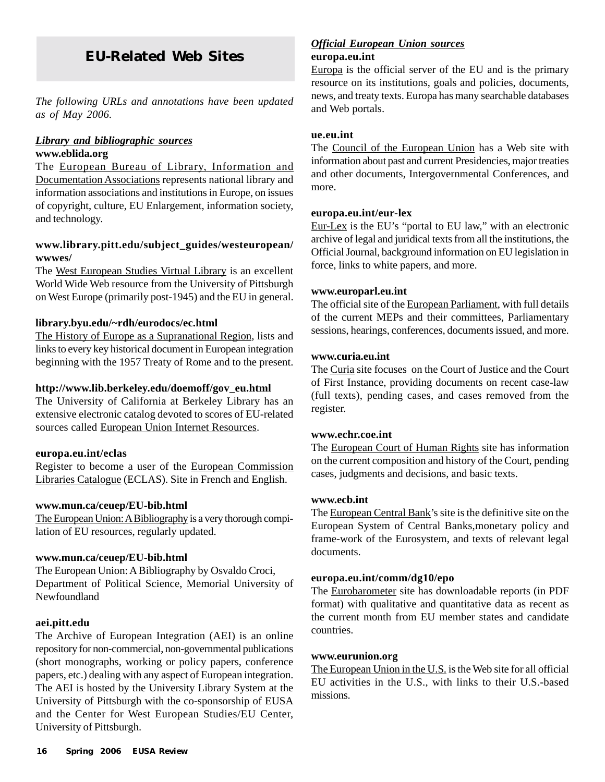# **EU-Related Web Sites**

*The following URLs and annotations have been updated as of May 2006.*

#### *Library and bibliographic sources* **www.eblida.org**

The European Bureau of Library, Information and Documentation Associations represents national library and information associations and institutions in Europe, on issues of copyright, culture, EU Enlargement, information society, and technology.

#### **www.library.pitt.edu/subject\_guides/westeuropean/ wwwes/**

The West European Studies Virtual Library is an excellent World Wide Web resource from the University of Pittsburgh on West Europe (primarily post-1945) and the EU in general.

#### **library.byu.edu/~rdh/eurodocs/ec.html**

The History of Europe as a Supranational Region, lists and links to every key historical document in European integration beginning with the 1957 Treaty of Rome and to the present.

#### **http://www.lib.berkeley.edu/doemoff/gov\_eu.html**

The University of California at Berkeley Library has an extensive electronic catalog devoted to scores of EU-related sources called European Union Internet Resources.

#### **europa.eu.int/eclas**

Register to become a user of the European Commission Libraries Catalogue (ECLAS). Site in French and English.

#### **www.mun.ca/ceuep/EU-bib.html**

The European Union: A Bibliography is a very thorough compilation of EU resources, regularly updated.

#### **www.mun.ca/ceuep/EU-bib.html**

The European Union: A Bibliography by Osvaldo Croci, Department of Political Science, Memorial University of Newfoundland

#### **aei.pitt.edu**

The Archive of European Integration (AEI) is an online repository for non-commercial, non-governmental publications (short monographs, working or policy papers, conference papers, etc.) dealing with any aspect of European integration. The AEI is hosted by the University Library System at the University of Pittsburgh with the co-sponsorship of EUSA and the Center for West European Studies/EU Center, University of Pittsburgh.

#### *Official European Union sources* **europa.eu.int**

Europa is the official server of the EU and is the primary resource on its institutions, goals and policies, documents, news, and treaty texts. Europa has many searchable databases and Web portals.

#### **ue.eu.int**

The Council of the European Union has a Web site with information about past and current Presidencies, major treaties and other documents, Intergovernmental Conferences, and more.

#### **europa.eu.int/eur-lex**

Eur-Lex is the EU's "portal to EU law," with an electronic archive of legal and juridical texts from all the institutions, the Official Journal, background information on EU legislation in force, links to white papers, and more.

#### **www.europarl.eu.int**

The official site of the European Parliament, with full details of the current MEPs and their committees, Parliamentary sessions, hearings, conferences, documents issued, and more.

#### **www.curia.eu.int**

The Curia site focuses on the Court of Justice and the Court of First Instance, providing documents on recent case-law (full texts), pending cases, and cases removed from the register.

#### **www.echr.coe.int**

The European Court of Human Rights site has information on the current composition and history of the Court, pending cases, judgments and decisions, and basic texts.

#### **www.ecb.int**

The European Central Bank's site is the definitive site on the European System of Central Banks,monetary policy and frame-work of the Eurosystem, and texts of relevant legal documents.

#### **europa.eu.int/comm/dg10/epo**

The Eurobarometer site has downloadable reports (in PDF format) with qualitative and quantitative data as recent as the current month from EU member states and candidate countries.

#### **www.eurunion.org**

The European Union in the U.S. is the Web site for all official EU activities in the U.S., with links to their U.S.-based missions.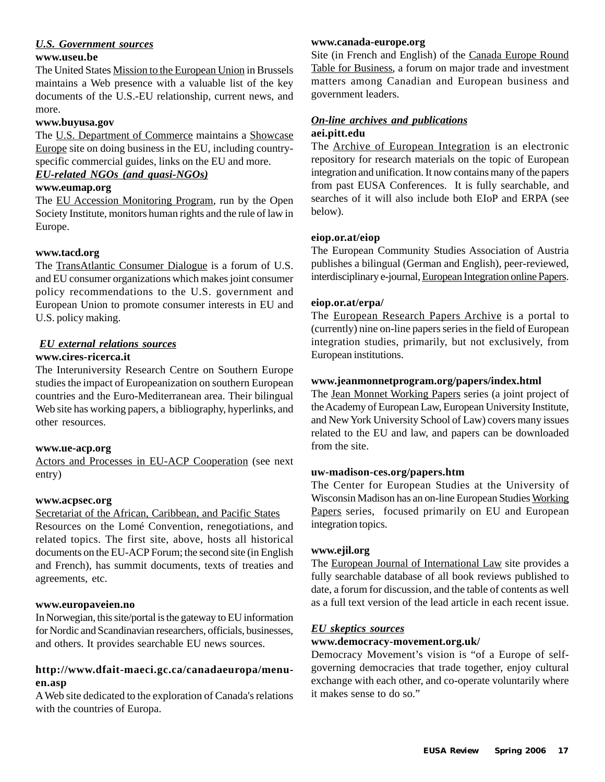### *U.S. Government sources*

#### **www.useu.be**

The United States Mission to the European Union in Brussels maintains a Web presence with a valuable list of the key documents of the U.S.-EU relationship, current news, and more.

#### **www.buyusa.gov**

The U.S. Department of Commerce maintains a Showcase Europe site on doing business in the EU, including countryspecific commercial guides, links on the EU and more.

# *EU-related NGOs (and quasi-NGOs)*

#### **www.eumap.org**

The EU Accession Monitoring Program, run by the Open Society Institute, monitors human rights and the rule of law in Europe.

#### **www.tacd.org**

The TransAtlantic Consumer Dialogue is a forum of U.S. and EU consumer organizations which makes joint consumer policy recommendations to the U.S. government and European Union to promote consumer interests in EU and U.S. policy making.

#### *EU external relations sources*

#### **www.cires-ricerca.it**

The Interuniversity Research Centre on Southern Europe studies the impact of Europeanization on southern European countries and the Euro-Mediterranean area. Their bilingual Web site has working papers, a bibliography, hyperlinks, and other resources.

#### **www.ue-acp.org**

Actors and Processes in EU-ACP Cooperation (see next entry)

#### **www.acpsec.org**

Secretariat of the African, Caribbean, and Pacific States Resources on the Lomé Convention, renegotiations, and related topics. The first site, above, hosts all historical documents on the EU-ACP Forum; the second site (in English and French), has summit documents, texts of treaties and agreements, etc.

#### **www.europaveien.no**

In Norwegian, this site/portal is the gateway to EU information for Nordic and Scandinavian researchers, officials, businesses, and others. It provides searchable EU news sources.

#### **http://www.dfait-maeci.gc.ca/canadaeuropa/menuen.asp**

A Web site dedicated to the exploration of Canada's relations with the countries of Europa.

#### **www.canada-europe.org**

Site (in French and English) of the Canada Europe Round Table for Business, a forum on major trade and investment matters among Canadian and European business and government leaders.

#### *On-line archives and publications* **aei.pitt.edu**

The Archive of European Integration is an electronic repository for research materials on the topic of European integration and unification. It now contains many of the papers from past EUSA Conferences. It is fully searchable, and searches of it will also include both EIoP and ERPA (see below).

#### **eiop.or.at/eiop**

The European Community Studies Association of Austria publishes a bilingual (German and English), peer-reviewed, interdisciplinary e-journal, European Integration online Papers.

#### **eiop.or.at/erpa/**

The European Research Papers Archive is a portal to (currently) nine on-line papers series in the field of European integration studies, primarily, but not exclusively, from European institutions.

#### **www.jeanmonnetprogram.org/papers/index.html**

The Jean Monnet Working Papers series (a joint project of the Academy of European Law, European University Institute, and New York University School of Law) covers many issues related to the EU and law, and papers can be downloaded from the site.

#### **uw-madison-ces.org/papers.htm**

The Center for European Studies at the University of Wisconsin Madison has an on-line European Studies Working Papers series, focused primarily on EU and European integration topics.

#### **www.ejil.org**

The European Journal of International Law site provides a fully searchable database of all book reviews published to date, a forum for discussion, and the table of contents as well as a full text version of the lead article in each recent issue.

#### *EU skeptics sources*

#### **www.democracy-movement.org.uk/**

Democracy Movement's vision is "of a Europe of selfgoverning democracies that trade together, enjoy cultural exchange with each other, and co-operate voluntarily where it makes sense to do so."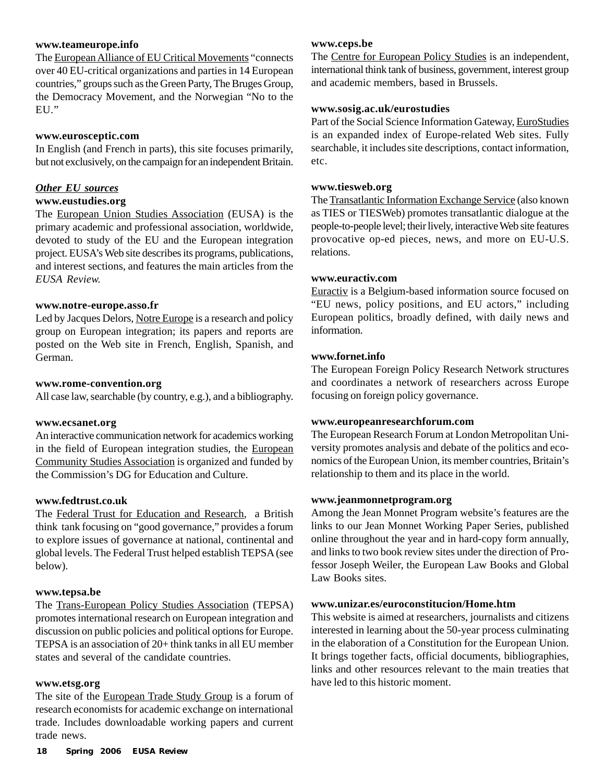#### **www.teameurope.info**

The European Alliance of EU Critical Movements "connects" over 40 EU-critical organizations and parties in 14 European countries," groups such as the Green Party, The Bruges Group, the Democracy Movement, and the Norwegian "No to the EU."

#### **www.eurosceptic.com**

In English (and French in parts), this site focuses primarily, but not exclusively, on the campaign for an independent Britain.

#### *Other EU sources*

#### **www.eustudies.org**

The European Union Studies Association (EUSA) is the primary academic and professional association, worldwide, devoted to study of the EU and the European integration project. EUSA's Web site describes its programs, publications, and interest sections, and features the main articles from the *EUSA Review.*

#### **www.notre-europe.asso.fr**

Led by Jacques Delors, Notre Europe is a research and policy group on European integration; its papers and reports are posted on the Web site in French, English, Spanish, and German.

#### **www.rome-convention.org**

All case law, searchable (by country, e.g.), and a bibliography.

#### **www.ecsanet.org**

An interactive communication network for academics working in the field of European integration studies, the European Community Studies Association is organized and funded by the Commission's DG for Education and Culture.

#### **www.fedtrust.co.uk**

The Federal Trust for Education and Research, a British think tank focusing on "good governance," provides a forum to explore issues of governance at national, continental and global levels. The Federal Trust helped establish TEPSA (see below).

#### **www.tepsa.be**

The Trans-European Policy Studies Association (TEPSA) promotes international research on European integration and discussion on public policies and political options for Europe. TEPSA is an association of 20+ think tanks in all EU member states and several of the candidate countries.

#### **www.etsg.org**

The site of the European Trade Study Group is a forum of research economists for academic exchange on international trade. Includes downloadable working papers and current trade news.

#### **www.ceps.be**

The Centre for European Policy Studies is an independent, international think tank of business, government, interest group and academic members, based in Brussels.

#### **www.sosig.ac.uk/eurostudies**

Part of the Social Science Information Gateway, EuroStudies is an expanded index of Europe-related Web sites. Fully searchable, it includes site descriptions, contact information, etc.

#### **www.tiesweb.org**

The Transatlantic Information Exchange Service (also known as TIES or TIESWeb) promotes transatlantic dialogue at the people-to-people level; their lively, interactive Web site features provocative op-ed pieces, news, and more on EU-U.S. relations.

#### **www.euractiv.com**

Euractiv is a Belgium-based information source focused on "EU news, policy positions, and EU actors," including European politics, broadly defined, with daily news and information.

#### **www.fornet.info**

The European Foreign Policy Research Network structures and coordinates a network of researchers across Europe focusing on foreign policy governance.

#### **www.europeanresearchforum.com**

The European Research Forum at London Metropolitan University promotes analysis and debate of the politics and economics of the European Union, its member countries, Britain's relationship to them and its place in the world.

#### **www.jeanmonnetprogram.org**

Among the Jean Monnet Program website's features are the links to our Jean Monnet Working Paper Series, published online throughout the year and in hard-copy form annually, and links to two book review sites under the direction of Professor Joseph Weiler, the European Law Books and Global Law Books sites.

#### **www.unizar.es/euroconstitucion/Home.htm**

This website is aimed at researchers, journalists and citizens interested in learning about the 50-year process culminating in the elaboration of a Constitution for the European Union. It brings together facts, official documents, bibliographies, links and other resources relevant to the main treaties that have led to this historic moment.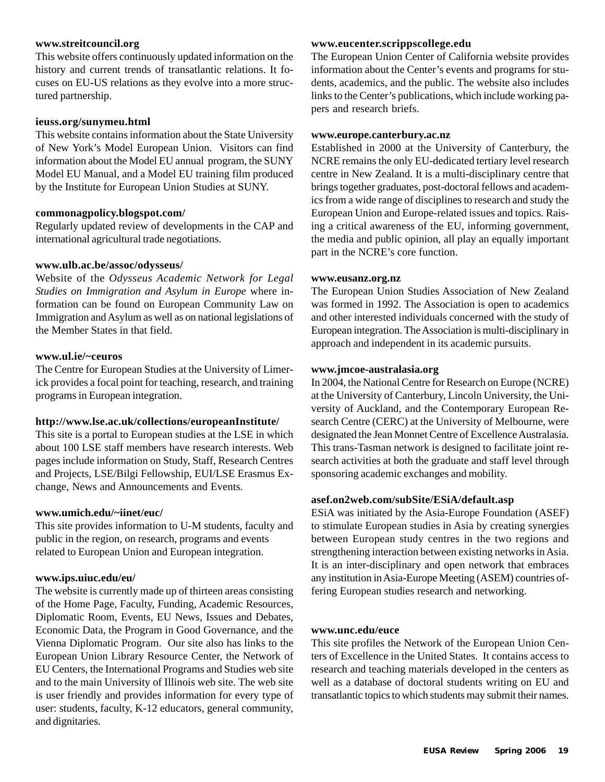#### **www.streitcouncil.org**

This website offers continuously updated information on the history and current trends of transatlantic relations. It focuses on EU-US relations as they evolve into a more structured partnership.

#### **ieuss.org/sunymeu.html**

This website contains information about the State University of New York's Model European Union. Visitors can find information about the Model EU annual program, the SUNY Model EU Manual, and a Model EU training film produced by the Institute for European Union Studies at SUNY.

#### **commonagpolicy.blogspot.com/**

Regularly updated review of developments in the CAP and international agricultural trade negotiations.

#### **www.ulb.ac.be/assoc/odysseus/**

Website of the *Odysseus Academic Network for Legal Studies on Immigration and Asylum in Europe* where information can be found on European Community Law on Immigration and Asylum as well as on national legislations of the Member States in that field.

#### **www.ul.ie/~ceuros**

The Centre for European Studies at the University of Limerick provides a focal point for teaching, research, and training programs in European integration.

#### **http://www.lse.ac.uk/collections/europeanInstitute/**

This site is a portal to European studies at the LSE in which about 100 LSE staff members have research interests. Web pages include information on Study, Staff, Research Centres and Projects, LSE/Bilgi Fellowship, EUI/LSE Erasmus Exchange, News and Announcements and Events.

#### **www.umich.edu/~iinet/euc/**

This site provides information to U-M students, faculty and public in the region, on research, programs and events related to European Union and European integration.

#### **www.ips.uiuc.edu/eu/**

The website is currently made up of thirteen areas consisting of the Home Page, Faculty, Funding, Academic Resources, Diplomatic Room, Events, EU News, Issues and Debates, Economic Data, the Program in Good Governance, and the Vienna Diplomatic Program. Our site also has links to the European Union Library Resource Center, the Network of EU Centers, the International Programs and Studies web site and to the main University of Illinois web site. The web site is user friendly and provides information for every type of user: students, faculty, K-12 educators, general community, and dignitaries.

#### **www.eucenter.scrippscollege.edu**

The European Union Center of California website provides information about the Center's events and programs for students, academics, and the public. The website also includes links to the Center's publications, which include working papers and research briefs.

#### **www.europe.canterbury.ac.nz**

Established in 2000 at the University of Canterbury, the NCRE remains the only EU-dedicated tertiary level research centre in New Zealand. It is a multi-disciplinary centre that brings together graduates, post-doctoral fellows and academics from a wide range of disciplines to research and study the European Union and Europe-related issues and topics. Raising a critical awareness of the EU, informing government, the media and public opinion, all play an equally important part in the NCRE's core function.

#### **www.eusanz.org.nz**

The European Union Studies Association of New Zealand was formed in 1992. The Association is open to academics and other interested individuals concerned with the study of European integration. The Association is multi-disciplinary in approach and independent in its academic pursuits.

#### **www.jmcoe-australasia.org**

In 2004, the National Centre for Research on Europe (NCRE) at the University of Canterbury, Lincoln University, the University of Auckland, and the Contemporary European Research Centre (CERC) at the University of Melbourne, were designated the Jean Monnet Centre of Excellence Australasia. This trans-Tasman network is designed to facilitate joint research activities at both the graduate and staff level through sponsoring academic exchanges and mobility.

#### **asef.on2web.com/subSite/ESiA/default.asp**

ESiA was initiated by the Asia-Europe Foundation (ASEF) to stimulate European studies in Asia by creating synergies between European study centres in the two regions and strengthening interaction between existing networks in Asia. It is an inter-disciplinary and open network that embraces any institution in Asia-Europe Meeting (ASEM) countries offering European studies research and networking.

#### **www.unc.edu/euce**

This site profiles the Network of the European Union Centers of Excellence in the United States. It contains access to research and teaching materials developed in the centers as well as a database of doctoral students writing on EU and transatlantic topics to which students may submit their names.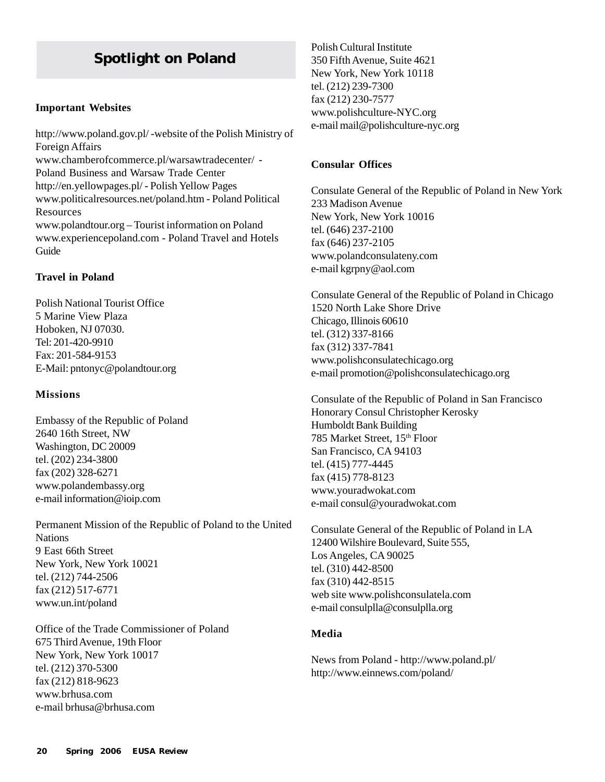# **Spotlight on Poland**

#### **Important Websites**

http://www.poland.gov.pl/ -website of the Polish Ministry of Foreign Affairs www.chamberofcommerce.pl/warsawtradecenter/ - Poland Business and Warsaw Trade Center

http://en.yellowpages.pl/ - Polish Yellow Pages www.politicalresources.net/poland.htm - Poland Political Resources

www.polandtour.org – Tourist information on Poland www.experiencepoland.com - Poland Travel and Hotels Guide

#### **Travel in Poland**

Polish National Tourist Office 5 Marine View Plaza Hoboken, NJ 07030. Tel: 201-420-9910 Fax: 201-584-9153 E-Mail: pntonyc@polandtour.org

#### **Missions**

Embassy of the Republic of Poland 2640 16th Street, NW Washington, DC 20009 tel. (202) 234-3800 fax (202) 328-6271 www.polandembassy.org e-mail information@ioip.com

Permanent Mission of the Republic of Poland to the United Nations 9 East 66th Street New York, New York 10021 tel. (212) 744-2506 fax (212) 517-6771 www.un.int/poland

Office of the Trade Commissioner of Poland 675 Third Avenue, 19th Floor New York, New York 10017 tel. (212) 370-5300 fax (212) 818-9623 www.brhusa.com e-mail brhusa@brhusa.com

Polish Cultural Institute 350 Fifth Avenue, Suite 4621 New York, New York 10118 tel. (212) 239-7300 fax (212) 230-7577 www.polishculture-NYC.org e-mail mail@polishculture-nyc.org

#### **Consular Offices**

Consulate General of the Republic of Poland in New York 233 Madison Avenue New York, New York 10016 tel. (646) 237-2100 fax (646) 237-2105 www.polandconsulateny.com e-mail kgrpny@aol.com

Consulate General of the Republic of Poland in Chicago 1520 North Lake Shore Drive Chicago, Illinois 60610 tel. (312) 337-8166 fax (312) 337-7841 www.polishconsulatechicago.org e-mail promotion@polishconsulatechicago.org

Consulate of the Republic of Poland in San Francisco Honorary Consul Christopher Kerosky Humboldt Bank Building 785 Market Street, 15th Floor San Francisco, CA 94103 tel. (415) 777-4445 fax (415) 778-8123 www.youradwokat.com e-mail consul@youradwokat.com

Consulate General of the Republic of Poland in LA 12400 Wilshire Boulevard, Suite 555, Los Angeles, CA 90025 tel. (310) 442-8500 fax (310) 442-8515 web site www.polishconsulatela.com e-mail consulplla@consulplla.org

### **Media**

News from Poland - http://www.poland.pl/ http://www.einnews.com/poland/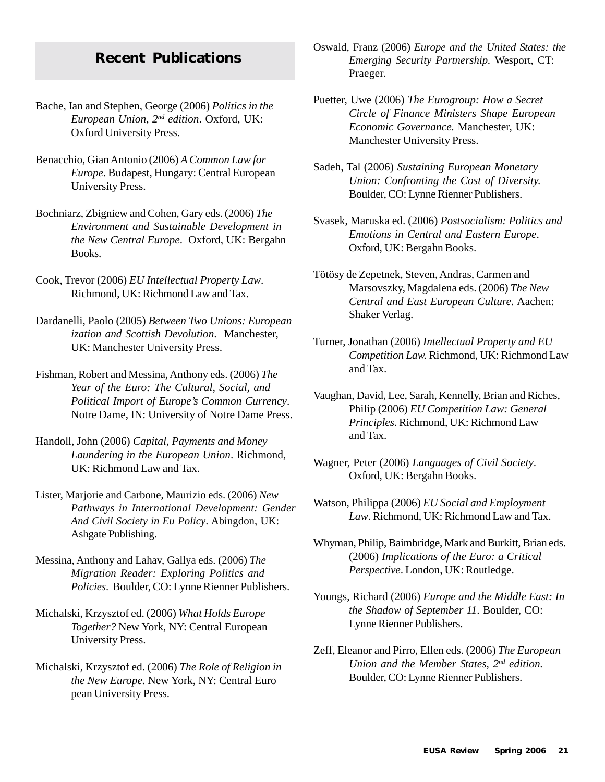# **Recent Publications**

- Bache, Ian and Stephen, George (2006) *Politics in the European Union, 2nd edition*. Oxford, UK: Oxford University Press.
- Benacchio, Gian Antonio (2006) *A Common Law for Europe*. Budapest, Hungary: Central European University Press.
- Bochniarz, Zbigniew and Cohen, Gary eds. (2006) *The Environment and Sustainable Development in the New Central Europe*. Oxford, UK: Bergahn Books.
- Cook, Trevor (2006) *EU Intellectual Property Law*. Richmond, UK: Richmond Law and Tax.
- Dardanelli, Paolo (2005) *Between Two Unions: European ization and Scottish Devolution*. Manchester, UK: Manchester University Press.
- Fishman, Robert and Messina, Anthony eds. (2006) *The Year of the Euro: The Cultural, Social, and Political Import of Europe's Common Currency*. Notre Dame, IN: University of Notre Dame Press.
- Handoll, John (2006) *Capital, Payments and Money Laundering in the European Union*. Richmond, UK: Richmond Law and Tax.
- Lister, Marjorie and Carbone, Maurizio eds. (2006) *New Pathways in International Development: Gender And Civil Society in Eu Policy*. Abingdon, UK: Ashgate Publishing.
- Messina, Anthony and Lahav, Gallya eds. (2006) *The Migration Reader: Exploring Politics and Policies*. Boulder, CO: Lynne Rienner Publishers.
- Michalski, Krzysztof ed. (2006) *What Holds Europe Together?* New York, NY: Central European University Press.
- Michalski, Krzysztof ed. (2006) *The Role of Religion in the New Europe.* New York, NY: Central Euro pean University Press.
- Oswald, Franz (2006) *Europe and the United States: the Emerging Security Partnership.* Wesport, CT: Praeger.
- Puetter, Uwe (2006) *The Eurogroup: How a Secret Circle of Finance Ministers Shape European Economic Governance.* Manchester, UK: Manchester University Press.
- Sadeh, Tal (2006) *Sustaining European Monetary Union: Confronting the Cost of Diversity.* Boulder, CO: Lynne Rienner Publishers.
- Svasek, Maruska ed. (2006) *Postsocialism: Politics and Emotions in Central and Eastern Europe*. Oxford, UK: Bergahn Books.
- Tötösy de Zepetnek, Steven, Andras, Carmen and Marsovszky, Magdalena eds. (2006) *The New Central and East European Culture*. Aachen: Shaker Verlag.
- Turner, Jonathan (2006) *Intellectual Property and EU Competition Law.* Richmond, UK: Richmond Law and Tax.
- Vaughan, David, Lee, Sarah, Kennelly, Brian and Riches, Philip (2006) *EU Competition Law: General Principles*. Richmond, UK: Richmond Law and Tax.
- Wagner, Peter (2006) *Languages of Civil Society*. Oxford, UK: Bergahn Books.
- Watson, Philippa (2006) *EU Social and Employment Law*. Richmond, UK: Richmond Law and Tax.
- Whyman, Philip, Baimbridge, Mark and Burkitt, Brian eds. (2006) *Implications of the Euro: a Critical Perspective*. London, UK: Routledge.
- Youngs, Richard (2006) *Europe and the Middle East: In the Shadow of September 11*. Boulder, CO: Lynne Rienner Publishers.
- Zeff, Eleanor and Pirro, Ellen eds. (2006) *The European Union and the Member States, 2nd edition.* Boulder, CO: Lynne Rienner Publishers.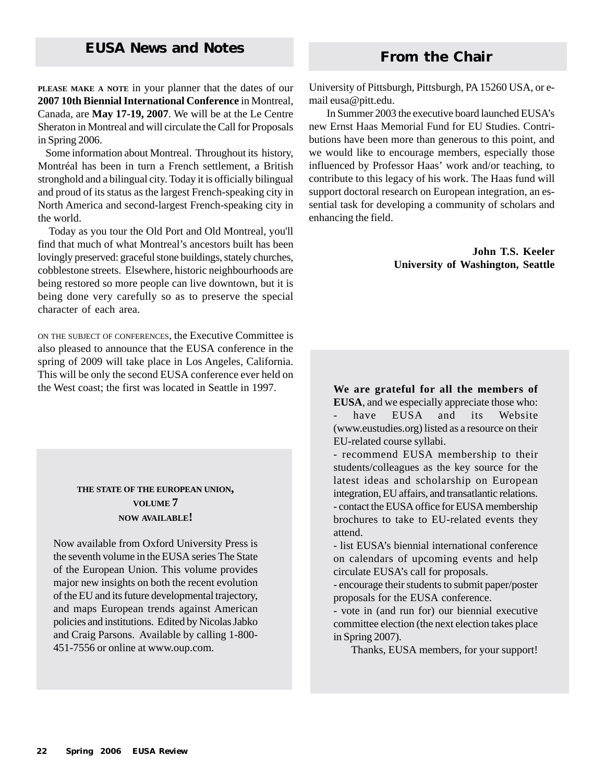**PLEASE MAKE A NOTE** in your planner that the dates of our **2007 10th Biennial International Conference** in Montreal, Canada, are **May 17-19, 2007**. We will be at the Le Centre Sheraton in Montreal and will circulate the Call for Proposals in Spring 2006.

 Some information about Montreal. Throughout its history, Montréal has been in turn a French settlement, a British stronghold and a bilingual city. Today it is officially bilingual and proud of its status as the largest French-speaking city in North America and second-largest French-speaking city in the world.

 Today as you tour the Old Port and Old Montreal, you'll find that much of what Montreal's ancestors built has been lovingly preserved: graceful stone buildings, stately churches, cobblestone streets. Elsewhere, historic neighbourhoods are being restored so more people can live downtown, but it is being done very carefully so as to preserve the special character of each area.

ON THE SUBJECT OF CONFERENCES, the Executive Committee is also pleased to announce that the EUSA conference in the spring of 2009 will take place in Los Angeles, California. This will be only the second EUSA conference ever held on the West coast; the first was located in Seattle in 1997.

> **THE STATE OF THE EUROPEAN UNION, VOLUME 7 NOW AVAILABLE!**

Now available from Oxford University Press is the seventh volume in the EUSA series The State of the European Union. This volume provides major new insights on both the recent evolution of the EU and its future developmental trajectory, and maps European trends against American policies and institutions. Edited by Nicolas Jabko and Craig Parsons. Available by calling 1-800- 451-7556 or online at www.oup.com.

University of Pittsburgh, Pittsburgh, PA 15260 USA, or email eusa@pitt.edu.

In Summer 2003 the executive board launched EUSA's new Ernst Haas Memorial Fund for EU Studies. Contributions have been more than generous to this point, and we would like to encourage members, especially those influenced by Professor Haas' work and/or teaching, to contribute to this legacy of his work. The Haas fund will support doctoral research on European integration, an essential task for developing a community of scholars and enhancing the field.

> **John T.S. Keeler University of Washington, Seattle**

**We are grateful for all the members of**

**EUSA**, and we especially appreciate those who: have EUSA and its Website (www.eustudies.org) listed as a resource on their EU-related course syllabi.

- recommend EUSA membership to their students/colleagues as the key source for the latest ideas and scholarship on European integration, EU affairs, and transatlantic relations. - contact the EUSA office for EUSA membership brochures to take to EU-related events they attend.

- list EUSA's biennial international conference on calendars of upcoming events and help circulate EUSA's call for proposals.

- encourage their students to submit paper/poster proposals for the EUSA conference.

- vote in (and run for) our biennial executive committee election (the next election takes place in Spring 2007).

Thanks, EUSA members, for your support!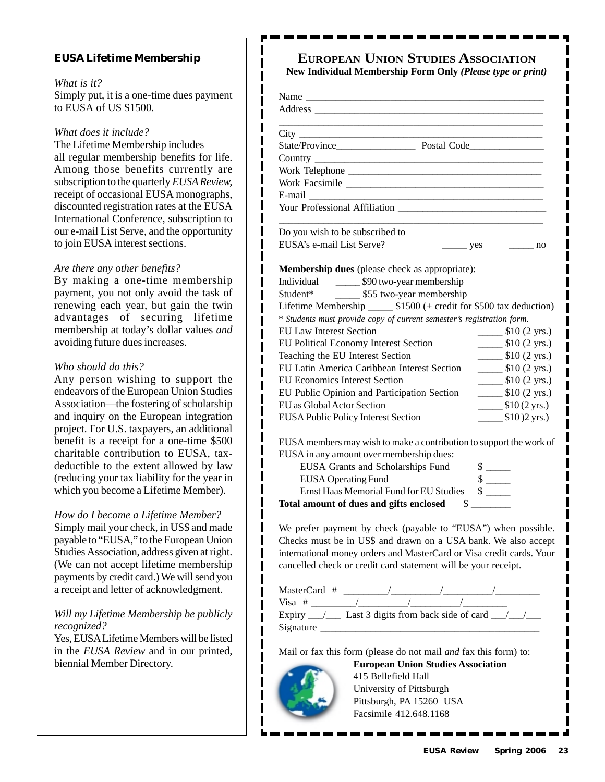#### **EUSA Lifetime Membership**

#### *What is it?*

Simply put, it is a one-time dues payment to EUSA of US \$1500.

ı

*What does it include?*

The Lifetime Membership includes all regular membership benefits for life. Among those benefits currently are subscription to the quarterly *EUSA Review,* receipt of occasional EUSA monographs, discounted registration rates at the EUSA International Conference, subscription to our e-mail List Serve, and the opportunity to join EUSA interest sections.

#### *Are there any other benefits?*

By making a one-time membership payment, you not only avoid the task of renewing each year, but gain the twin advantages of securing lifetime membership at today's dollar values *and* avoiding future dues increases.

#### *Who should do this?*

Any person wishing to support the endeavors of the European Union Studies Association—the fostering of scholarship and inquiry on the European integration project. For U.S. taxpayers, an additional benefit is a receipt for a one-time \$500 charitable contribution to EUSA, taxdeductible to the extent allowed by law (reducing your tax liability for the year in which you become a Lifetime Member).

#### *How do I become a Lifetime Member?*

Simply mail your check, in US\$ and made payable to "EUSA," to the European Union Studies Association, address given at right. (We can not accept lifetime membership payments by credit card.) We will send you a receipt and letter of acknowledgment.

#### *Will my Lifetime Membership be publicly recognized?*

Yes, EUSA Lifetime Members will be listed in the *EUSA Review* and in our printed, biennial Member Directory.

# **EUROPEAN UNION STUDIES ASSOCIATION**

**New Individual Membership Form Only** *(Please type or print)*

| $City$ <sub>______</sub>                                                                                                                                                                                                                                                                                                                                                                                                                                                                                                                                                                                                                                                                     |                          |                                                                                                                                                                                                                                                                                                                                   |
|----------------------------------------------------------------------------------------------------------------------------------------------------------------------------------------------------------------------------------------------------------------------------------------------------------------------------------------------------------------------------------------------------------------------------------------------------------------------------------------------------------------------------------------------------------------------------------------------------------------------------------------------------------------------------------------------|--------------------------|-----------------------------------------------------------------------------------------------------------------------------------------------------------------------------------------------------------------------------------------------------------------------------------------------------------------------------------|
| State/Province <b>Manual Community</b> Postal Code <b>Manual Code</b>                                                                                                                                                                                                                                                                                                                                                                                                                                                                                                                                                                                                                        |                          |                                                                                                                                                                                                                                                                                                                                   |
|                                                                                                                                                                                                                                                                                                                                                                                                                                                                                                                                                                                                                                                                                              |                          |                                                                                                                                                                                                                                                                                                                                   |
|                                                                                                                                                                                                                                                                                                                                                                                                                                                                                                                                                                                                                                                                                              |                          |                                                                                                                                                                                                                                                                                                                                   |
| Work Facsimile                                                                                                                                                                                                                                                                                                                                                                                                                                                                                                                                                                                                                                                                               |                          |                                                                                                                                                                                                                                                                                                                                   |
| $E$ -mail $\_\_$                                                                                                                                                                                                                                                                                                                                                                                                                                                                                                                                                                                                                                                                             |                          |                                                                                                                                                                                                                                                                                                                                   |
| <b>Your Professional Affiliation</b>                                                                                                                                                                                                                                                                                                                                                                                                                                                                                                                                                                                                                                                         |                          |                                                                                                                                                                                                                                                                                                                                   |
| Do you wish to be subscribed to                                                                                                                                                                                                                                                                                                                                                                                                                                                                                                                                                                                                                                                              |                          |                                                                                                                                                                                                                                                                                                                                   |
| EUSA's e-mail List Serve?                                                                                                                                                                                                                                                                                                                                                                                                                                                                                                                                                                                                                                                                    | $\rule{1em}{0.15mm}$ yes | no                                                                                                                                                                                                                                                                                                                                |
| * Students must provide copy of current semester's registration form.<br><b>EU Law Interest Section</b><br>EU Political Economy Interest Section<br>Teaching the EU Interest Section<br>EU Latin America Caribbean Interest Section<br><b>EU Economics Interest Section</b><br>EU Public Opinion and Participation Section<br>EU as Global Actor Section<br><b>EUSA Public Policy Interest Section</b>                                                                                                                                                                                                                                                                                       |                          | $\frac{\text{I}}{\text{I}}(2 \text{ yrs.})$<br>$\frac{\text{S10}}{\text{S10}}$ (2 yrs.)<br>\$10 (2 yrs.)<br>$\frac{\text{I}}{\text{I}}$ \$10 (2 yrs.)<br>$\frac{\text{I}}{\text{I}}$ \$10 (2 yrs.)<br>$\frac{\text{I}}{\text{I}}(2 \text{ yrs.})$<br>$\frac{\text{I}(2 \text{ yrs.})}{\text{I}(2 \text{ yrs.})}$<br>$$10)2$ yrs.) |
| EUSA members may wish to make a contribution to support the work of<br>EUSA in any amount over membership dues:<br>EUSA Grants and Scholarships Fund<br><b>EUSA Operating Fund</b><br>Ernst Haas Memorial Fund for EU Studies<br>Total amount of dues and gifts enclosed \$                                                                                                                                                                                                                                                                                                                                                                                                                  | $$$ $\qquad$             |                                                                                                                                                                                                                                                                                                                                   |
| We prefer payment by check (payable to "EUSA") when possible.<br>Checks must be in US\$ and drawn on a USA bank. We also accept<br>international money orders and MasterCard or Visa credit cards. Your<br>cancelled check or credit card statement will be your receipt.<br>Visa # $\frac{1}{\sqrt{1-\frac{1}{1-\frac{1}{1-\frac{1}{1-\frac{1}{1-\frac{1}{1-\frac{1}{1-\frac{1}{1-\frac{1}{1-\frac{1}{1-\frac{1}{1-\frac{1}{1-\frac{1}{1-\frac{1}{1-\frac{1}{1-\frac{1}{1-\frac{1}{1-\frac{1}{1-\frac{1}{1-\frac{1}{1-\frac{1}{1-\frac{1}{1-\frac{1}{1-\frac{1}{1-\frac{1}{1-\frac{1}{1-\frac{1}{1-\frac{1}{1-\frac{1}{1-\frac{1}{1-\frac{1}{1-\frac{1}{1-\frac{1}{1-\frac{1}{1-\frac{1}{1$ |                          |                                                                                                                                                                                                                                                                                                                                   |

Mail or fax this form (please do not mail *and* fax this form) to:



ı

**European Union Studies Association** 415 Bellefield Hall University of Pittsburgh Pittsburgh, PA 15260 USA Facsimile 412.648.1168